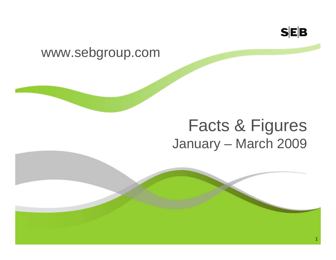

### www.sebgroup.com

# Facts & Figures January – March 2009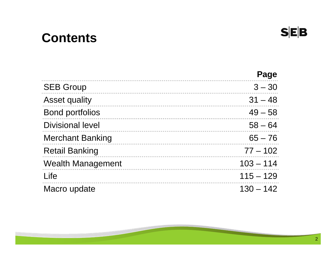# **Contents**

|                          | Page        |
|--------------------------|-------------|
| <b>SEB Group</b>         | $3 - 30$    |
| <b>Asset quality</b>     | $31 - 48$   |
| <b>Bond portfolios</b>   | $49 - 58$   |
| <b>Divisional level</b>  | $58 - 64$   |
| <b>Merchant Banking</b>  | $65 - 76$   |
| <b>Retail Banking</b>    | $77 - 102$  |
| <b>Wealth Management</b> | $103 - 114$ |
| Life                     | $115 - 129$ |
| Macro update             | $130 - 142$ |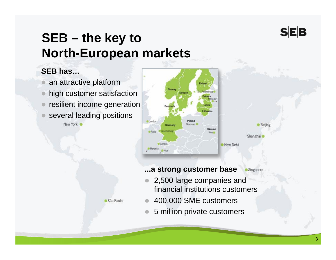# **SEB – the key to North-European markets**

São Paulo

### **SEB has…**

- $\bullet$ an attractive platform
- $\bullet$ high customer satisfaction
- $\bullet$ resilient income generation
- $\bullet$ several leading positions

New York



### **...a strong customer base**

- Singapore
- $\bullet$  2,500 large companies and financial institutions customers
- $\bullet$ 400,000 SME customers
- $\bullet$ 5 million private customers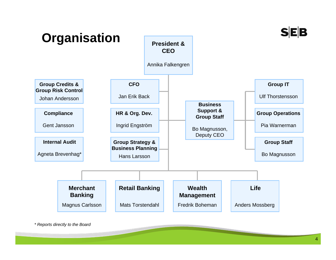

*\* Reports directly to the Board*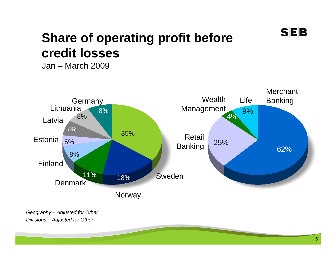

# **Share of operating profit before credit losses**

Jan – March 2009



*Geography – Adjusted for Other Divisions – Adjusted for Other*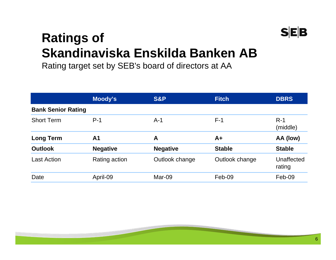

# **Ratings of Skandinaviska Enskilda Banken AB**

Rating target set by SEB's board of directors at AA

|                           | Moody's         | <b>S&amp;P</b>  | <b>Fitch</b>   | <b>DBRS</b>          |
|---------------------------|-----------------|-----------------|----------------|----------------------|
| <b>Bank Senior Rating</b> |                 |                 |                |                      |
| <b>Short Term</b>         | $P-1$           | $A-1$           | $F-1$          | $R-1$<br>(middle)    |
| <b>Long Term</b>          | A <sub>1</sub>  | A               | $A+$           | AA (low)             |
| <b>Outlook</b>            | <b>Negative</b> | <b>Negative</b> | <b>Stable</b>  | <b>Stable</b>        |
| Last Action               | Rating action   | Outlook change  | Outlook change | Unaffected<br>rating |
| Date                      | April-09        | Mar-09          | Feb-09         | Feb-09               |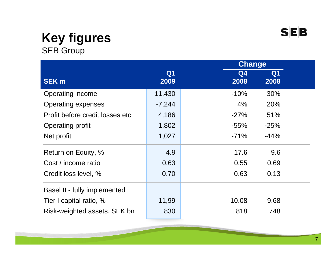### **Key figures**  SEB Group

|                                 |                        |            | <b>Change</b> |  |
|---------------------------------|------------------------|------------|---------------|--|
| <b>SEK m</b>                    | Q <sub>1</sub><br>2009 | Q4<br>2008 | Q1<br>2008    |  |
| Operating income                | 11,430                 | $-10%$     | 30%           |  |
| <b>Operating expenses</b>       | $-7,244$               | 4%         | 20%           |  |
| Profit before credit losses etc | 4,186                  | $-27%$     | 51%           |  |
| <b>Operating profit</b>         | 1,802                  | $-55\%$    | $-25%$        |  |
| Net profit                      | 1,027                  | $-71%$     | $-44%$        |  |
| Return on Equity, %             | 4.9                    | 17.6       | 9.6           |  |
| Cost / income ratio             | 0.63                   | 0.55       | 0.69          |  |
| Credit loss level, %            | 0.70                   | 0.63       | 0.13          |  |
| Basel II - fully implemented    |                        |            |               |  |
| Tier I capital ratio, %         | 11,99                  | 10.08      | 9.68          |  |
| Risk-weighted assets, SEK bn    | 830                    | 818        | 748           |  |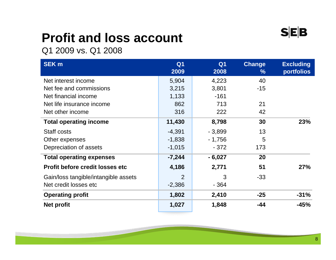# **Profit and loss account**

Q1 2009 vs. Q1 2008

| <b>SEK m</b>                           | Q <sub>1</sub><br>2009 | Q <sub>1</sub><br>2008 | <b>Change</b><br>$\frac{9}{6}$ | <b>Excluding</b><br><b>portfolios</b> |
|----------------------------------------|------------------------|------------------------|--------------------------------|---------------------------------------|
| Net interest income                    | 5,904                  | 4,223                  | 40                             |                                       |
| Net fee and commissions                | 3,215                  | 3,801                  | $-15$                          |                                       |
| Net financial income                   | 1,133                  | $-161$                 |                                |                                       |
| Net life insurance income              | 862                    | 713                    | 21                             |                                       |
| Net other income                       | 316                    | 222                    | 42                             |                                       |
| <b>Total operating income</b>          | 11,430                 | 8,798                  | 30                             | 23%                                   |
| Staff costs                            | $-4,391$               | $-3,899$               | 13                             |                                       |
| Other expenses                         | $-1,838$               | $-1,756$               | 5                              |                                       |
| Depreciation of assets                 | $-1,015$               | $-372$                 | 173                            |                                       |
| <b>Total operating expenses</b>        | $-7,244$               | $-6,027$               | 20                             |                                       |
| <b>Profit before credit losses etc</b> | 4,186                  | 2,771                  | 51                             | <b>27%</b>                            |
| Gain/loss tangible/intangible assets   | $\overline{2}$         | 3                      | $-33$                          |                                       |
| Net credit losses etc                  | $-2,386$               | $-364$                 |                                |                                       |
| <b>Operating profit</b>                | 1,802                  | 2,410                  | $-25$                          | $-31%$                                |
| <b>Net profit</b>                      | 1,027                  | 1,848                  | -44                            | $-45%$                                |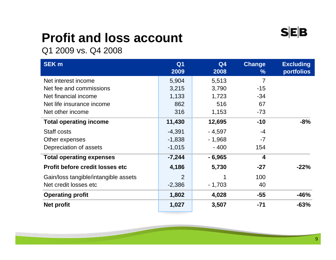# **Profit and loss account**

Q1 2009 vs. Q4 2008

| <b>SEK m</b>                           | Q <sub>1</sub><br>2009 | Q <sub>4</sub><br>2008 | <b>Change</b><br>$\%$   | <b>Excluding</b><br><b>portfolios</b> |
|----------------------------------------|------------------------|------------------------|-------------------------|---------------------------------------|
| Net interest income                    | 5,904                  | 5,513                  | $\overline{7}$          |                                       |
| Net fee and commissions                | 3,215                  | 3,790                  | $-15$                   |                                       |
| Net financial income                   | 1,133                  | 1,723                  | $-34$                   |                                       |
| Net life insurance income              | 862                    | 516                    | 67                      |                                       |
| Net other income                       | 316                    | 1,153                  | $-73$                   |                                       |
| <b>Total operating income</b>          | 11,430                 | 12,695                 | $-10$                   | $-8%$                                 |
| Staff costs                            | $-4,391$               | $-4,597$               | -4                      |                                       |
| Other expenses                         | $-1,838$               | $-1,968$               | $-7$                    |                                       |
| Depreciation of assets                 | $-1,015$               | $-400$                 | 154                     |                                       |
| <b>Total operating expenses</b>        | $-7,244$               | $-6,965$               | $\overline{\mathbf{4}}$ |                                       |
| <b>Profit before credit losses etc</b> | 4,186                  | 5,730                  | $-27$                   | $-22%$                                |
| Gain/loss tangible/intangible assets   | $\overline{2}$         | 1                      | 100                     |                                       |
| Net credit losses etc                  | $-2,386$               | $-1,703$               | 40                      |                                       |
| <b>Operating profit</b>                | 1,802                  | 4,028                  | $-55$                   | $-46%$                                |
| <b>Net profit</b>                      | 1,027                  | 3,507                  | $-71$                   | $-63%$                                |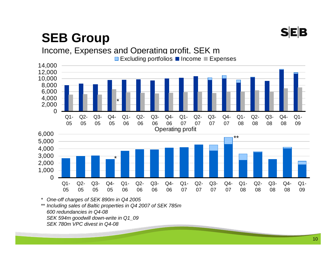# **SEB**

# **SEB Group**



*\* One-off charges of SEK 890m in Q4 2005*

*\*\* Including sales of Baltic properties in Q4 2007 of SEK 785m 600 redundancies in Q4-08 SEK 594m goodwill down-write in Q1\_09 SEK 780m VPC divest in Q4-08*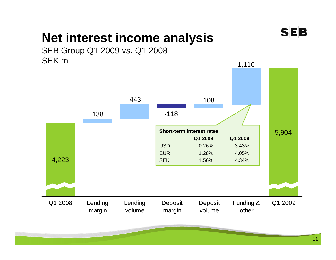

# **Net interest income analysis**



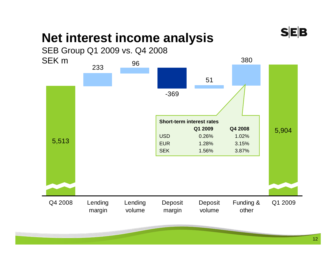

# **Net interest income analysis**

SEB Group Q1 2009 vs. Q4 2008 SEK m

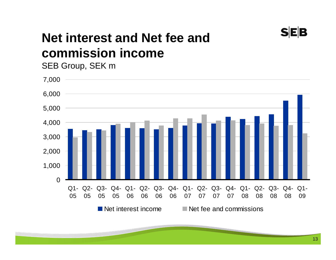

# **Net interest and Net fee and commission income**

SEB Group, SEK m



13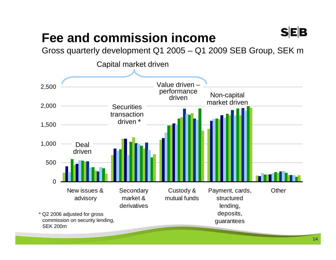# **Fee and commission income**

Gross quarterly development Q1 2005 – Q1 2009 SEB Group, SEK m

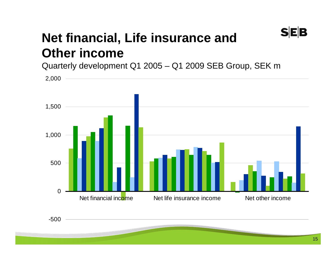# **Net financial, Life insurance and Other income**

Quarterly development Q1 2005 – Q1 2009 SEB Group, SEK m

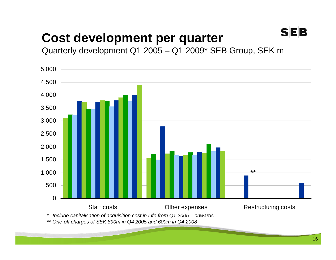# **Cost development per quarter**

Quarterly development Q1 2005 – Q1 2009\* SEB Group, SEK m



*\*\* One-off charges of SEK 890m in Q4 2005 and 600m in Q4 2008*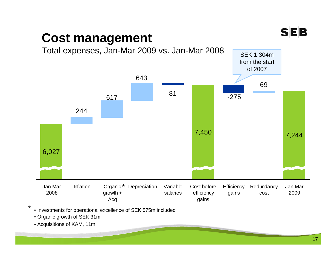

# **Cost management**



• Investments for operational excellence of SEK 575m included \*

• Organic growth of SEK 31m

• Acquisitions of KAM, 11m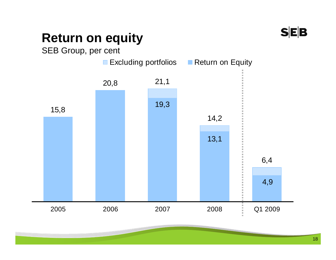# **Return on equity**

SEB Group, per cent

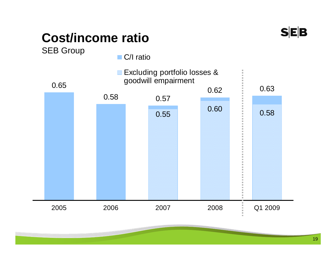

# **Cost/income ratio**

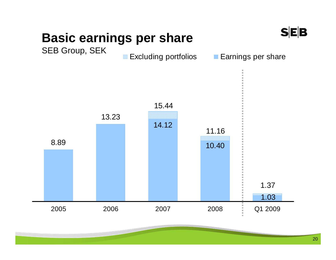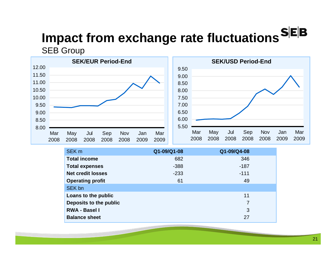# **Impact from exchange rate fluctuations SEB**

SEB Group



| SEK <sub>m</sub>         | Q1-09/Q1-08 | Q1-09/Q4-08    |  |
|--------------------------|-------------|----------------|--|
| <b>Total income</b>      | 682         | 346            |  |
| <b>Total expenses</b>    | $-388$      | $-187$         |  |
| <b>Net credit losses</b> | $-233$      | $-111$         |  |
| <b>Operating profit</b>  | 61          | 49             |  |
| SEK bn                   |             |                |  |
| Loans to the public      |             | 11             |  |
| Deposits to the public   |             | $\overline{7}$ |  |
| <b>RWA - Basel I</b>     |             | 3              |  |
| <b>Balance sheet</b>     |             | 27             |  |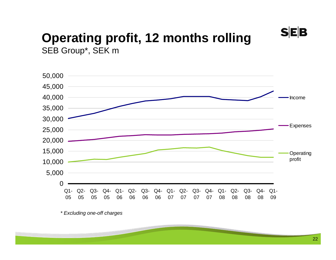**SEB** 

### **Operating profit, 12 months rolling**  SEB Group\*, SEK m



*\* Excluding one-off charges*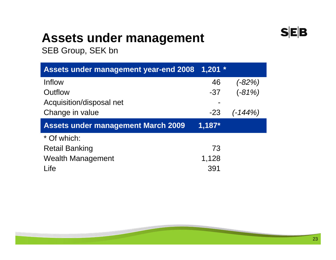# **Assets under management**

SEB Group, SEK bn

| <b>Assets under management year-end 2008</b> | $1,201$ * |           |
|----------------------------------------------|-----------|-----------|
| Inflow                                       | 46        | $(-82%)$  |
| Outflow                                      | $-37$     | $(-81%)$  |
| Acquisition/disposal net                     |           |           |
| Change in value                              | $-23$     | $(-144%)$ |
|                                              |           |           |
| <b>Assets under management March 2009</b>    | $1,187*$  |           |
| * Of which:                                  |           |           |
| <b>Retail Banking</b>                        | 73        |           |
| <b>Wealth Management</b>                     | 1,128     |           |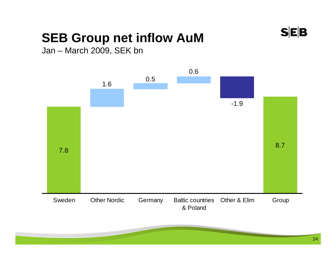

# **SEB Group net inflow AuM**

Jan – March 2009, SEK bn

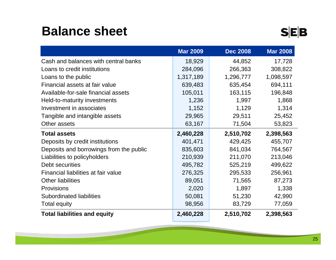# **Balance sheet**

|                                         | <b>Mar 2009</b> | <b>Dec 2008</b> | <b>Mar 2008</b> |
|-----------------------------------------|-----------------|-----------------|-----------------|
| Cash and balances with central banks    | 18,929          | 44,852          | 17,728          |
| Loans to credit institutions            | 284,096         | 266,363         | 308,822         |
| Loans to the public                     | 1,317,189       | 1,296,777       | 1,098,597       |
| Financial assets at fair value          | 639,483         | 635,454         | 694,111         |
| Available-for-sale financial assets     | 105,011         | 163,115         | 196,848         |
| Held-to-maturity investments            | 1,236           | 1,997           | 1,868           |
| Investment in associates                | 1,152           | 1,129           | 1,314           |
| Tangible and intangible assets          | 29,965          | 29,511          | 25,452          |
| Other assets                            | 63,167          | 71,504          | 53,823          |
| <b>Total assets</b>                     | 2,460,228       | 2,510,702       | 2,398,563       |
| Deposits by credit institutions         | 401,471         | 429,425         | 455,707         |
| Deposits and borrowings from the public | 835,603         | 841,034         | 764,567         |
| Liabilities to policyholders            | 210,939         | 211,070         | 213,046         |
| Debt securities                         | 495,782         | 525,219         | 499,622         |
| Financial liabilities at fair value     | 276,325         | 295,533         | 256,961         |
| <b>Other liabilities</b>                | 89,051          | 71,565          | 87,273          |
| <b>Provisions</b>                       | 2,020           | 1,897           | 1,338           |
| <b>Subordinated liabilities</b>         | 50,081          | 51,230          | 42,990          |
| <b>Total equity</b>                     | 98,956          | 83,729          | 77,059          |
| <b>Total liabilities and equity</b>     | 2,460,228       | 2,510,702       | 2,398,563       |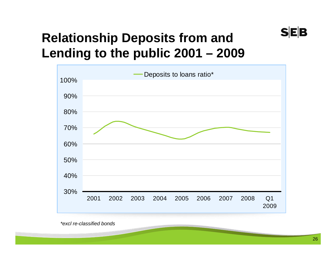# **Relationship Deposits from and Lending to the public 2001 – 2009**



*\*excl re-classified bonds*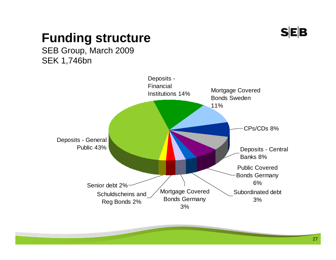

# **Funding structure**

SEB Group, March 2009 SEK 1,746bn

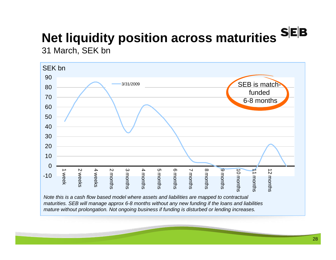# **Net liquidity position across maturities**

31 March, SEK bn



*Note this is a cash flow based model where assets and liabilities are mapped to contractual maturities. SEB will manage approx 6-8 months without any new funding if the loans and liabilities mature without prolongation. Not ongoing business if funding is disturbed or lending increases.*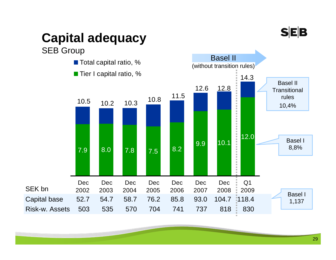# **SEB**

# **Capital adequacy**

### SEB Group

SEK bn

- Total capital ratio, %
- Tier I capital ratio, %

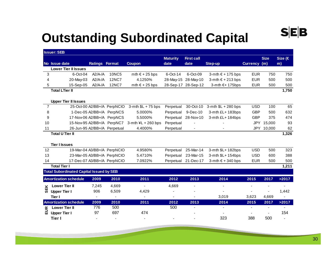# **Outstanding Subordinated Capital**

|                | <b>Issuer: SEB</b>                              |                          |                             |                         |                          |                     |                     |              |             |                          |
|----------------|-------------------------------------------------|--------------------------|-----------------------------|-------------------------|--------------------------|---------------------|---------------------|--------------|-------------|--------------------------|
|                |                                                 |                          |                             |                         | <b>Maturity</b>          | <b>First call</b>   |                     |              | <b>Size</b> | Size ( $\in$             |
|                | No Issue date                                   | Ratings Format           |                             | <b>Coupon</b>           | date                     | date                | <b>Step-up</b>      | Currency (m) |             | m)                       |
|                | <b>Lower Tier II Issues</b>                     |                          |                             |                         |                          |                     |                     |              |             |                          |
| 3              | 6-Oct-04                                        | $A2/A$ -/A               | <b>10NC5</b>                | mth $\epsilon$ + 25 bps | 6-Oct-14                 | 6-Oct-09            | 3-mth € + 175 bps   | <b>EUR</b>   | 750         | 750                      |
| 4              | 20-May-03                                       | $A2/A$ -/A               | <b>12NC7</b>                | 4.1250%                 | 28-May-15                | 28-May-10           | 3-mth € + 213 bps   | <b>EUR</b>   | 500         | 500                      |
| 5              | 15-Sep-05                                       | $A2/A$ -/A               | <b>12NC7</b>                | mth $\epsilon$ + 25 bps |                          | 28-Sep-17 28-Sep-12 | 3-mth €+ 175bps     | <b>EUR</b>   | 500         | 500                      |
|                | <b>Total LTier II</b>                           |                          |                             |                         |                          |                     |                     |              |             | 1,750                    |
|                | <b>Upper Tier II Issues</b>                     |                          |                             |                         |                          |                     |                     |              |             |                          |
| $\overline{7}$ |                                                 |                          | 25-Oct-00 A2/BB+/A PerpNCIO | $3-$ mth $$L + 75$ bps  | Perpetual                | 30-Oct-10           | 3-mth \$L + 280 bps | <b>USD</b>   | 100         | 65                       |
| 8              |                                                 |                          | 1-Dec-05 A2/BB+/A PerpNCS   | 5.0000%                 | Perpetual                | 9-Dec-10            | 3-mth £L+ 183bps    | <b>GBP</b>   | 500         | 632                      |
| 9              |                                                 |                          | 17-Nov-06 A2/BB+/A PerpNCS  | 5.5000%                 | Perpetual                | 28-Nov-10           | 3-mth £L+ 184bps    | <b>GBP</b>   | 375         | 474                      |
| 10             |                                                 |                          | 15-Nov-95 A2/BB+/A PerpNC7  | 3-mth $4L + 260$ bps    | Perpetual                |                     |                     | <b>JPY</b>   | 15,000      | 93                       |
| 11             | 26-Jun-95 A2/BB+/A Perpetual                    |                          |                             | 4.4000%                 | Perpetual                | $\blacksquare$      |                     | <b>JPY</b>   | 10,000      | 62                       |
|                | <b>Total U Tier II</b>                          |                          |                             |                         |                          |                     |                     |              |             | 1,326                    |
|                |                                                 |                          |                             |                         |                          |                     |                     |              |             |                          |
|                | <b>Tier I Issues</b>                            |                          |                             |                         |                          |                     |                     |              |             |                          |
| 12             |                                                 |                          | 19-Mar-04 A3/BB+/A PerpNCIO | 4.9580%                 | Perpetual                | 25-Mar-14           | 3-mth \$L+ 182bps   | <b>USD</b>   | 500         | 323                      |
| 13             |                                                 |                          | 23-Mar-05 A3/BB+/A PerpNCIO | 5.4710%                 | Perpetual                | 23-Mar-15           | 3-mth \$L+ 154bps   | <b>USD</b>   | 600         | 388                      |
| 14             |                                                 |                          | 17-Dec-07 A3/BB+/A PerpNCIO | 7.0922%                 | Perpetual                | 21-Dec-17           | 3-mth € + 340 bps   | <b>EUR</b>   | 500         | 500                      |
|                | <b>Total Tier I</b>                             |                          |                             |                         |                          |                     |                     |              |             | 1,211                    |
|                | <b>Total Subordinated Capital Issued by SEB</b> |                          |                             |                         |                          |                     |                     |              |             |                          |
|                | <b>Amortization schedule</b>                    | 2009                     | 2010                        | 2011                    | 2012                     | 2013                | 2014                | 2015         | 2017        | >2017                    |
| 핏              | <b>Lower Tier II</b>                            | 7,245                    | 4,669                       | $\blacksquare$          | 4,669                    |                     |                     |              |             |                          |
| ø.             | <b>Upper Tier I</b>                             | 906                      | 6,509                       | 4,429                   |                          |                     |                     |              |             | 1,442                    |
|                | Tier I                                          | $\overline{\phantom{a}}$ | $\blacksquare$              |                         | $\overline{\phantom{a}}$ |                     | 3,019               | 3,623        | 4,669       | ٠                        |
|                | <b>Amortization schedule</b>                    | 2009                     | 2010                        | 2011                    | 2012                     | 2013                | 2014                | 2015         | 2017        | >2017                    |
| $\pmb{\alpha}$ | <b>Lower Tier II</b>                            | 776                      | 500                         |                         | 500                      |                     |                     |              |             |                          |
| 品              | <b>Upper Tier I</b>                             | 97                       | 697                         | 474                     |                          |                     |                     |              |             | 154                      |
|                | Tier I                                          | ۰                        | $\overline{\phantom{a}}$    | $\blacksquare$          |                          |                     | 323                 | 388          | 500         | $\overline{\phantom{a}}$ |

 $S|E|B$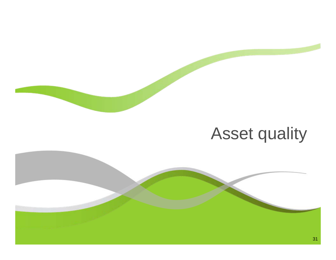# Asset quality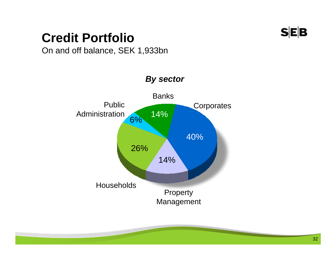# **Credit Portfolio**



On and off balance, SEK 1,933bn

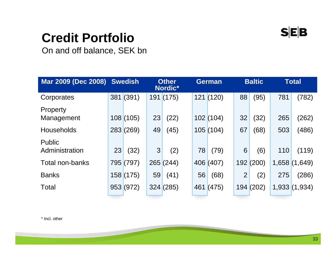

# **Credit Portfolio**

On and off balance, SEK bn

| <b>Mar 2009 (Dec 2008) Swedish</b> |    |           |    | <b>Other</b><br>Nordic* |     | <b>German</b> |                | <b>Baltic</b> |       | <b>Total</b> |
|------------------------------------|----|-----------|----|-------------------------|-----|---------------|----------------|---------------|-------|--------------|
| Corporates                         |    | 381(391)  |    | 191(175)                |     | 121(120)      | 88             | (95)          | 781   | (782)        |
| Property<br>Management             |    | 108(105)  | 23 | (22)                    |     | 102(104)      | 32             | (32)          | 265   | (262)        |
| <b>Households</b>                  |    | 283(269)  | 49 | (45)                    |     | 105(104)      | 67             | (68)          | 503   | (486)        |
| <b>Public</b><br>Administration    | 23 | (32)      | 3  | (2)                     | 78  | (79)          | 6              | (6)           | 110   | (119)        |
| <b>Total non-banks</b>             |    | 795 (797) |    | 265(244)                |     | 406 (407)     | 192            | (200)         | 1,658 | (1,649)      |
| <b>Banks</b>                       |    | 158(175)  | 59 | (41)                    | 56  | (68)          | $\overline{2}$ | (2)           | 275   | (286)        |
| <b>Total</b>                       |    | 953(972)  |    | 324(285)                | 461 | (475)         | 194            | (202)         |       | 1,933(1,934) |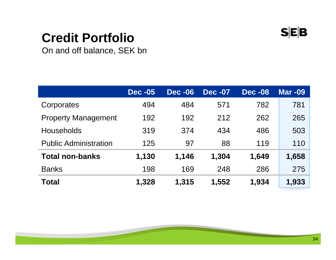

# **Credit Portfolio**

On and off balance, SEK bn

|                              | <b>Dec -05</b> | <b>Dec -06</b> | <b>Dec -07</b> | <b>Dec -08</b> | <b>Mar -09</b> |
|------------------------------|----------------|----------------|----------------|----------------|----------------|
| Corporates                   | 494            | 484            | 571            | 782            | 781            |
| <b>Property Management</b>   | 192            | 192            | 212            | 262            | 265            |
| <b>Households</b>            | 319            | 374            | 434            | 486            | 503            |
| <b>Public Administration</b> | 125            | 97             | 88             | 119            | 110            |
| <b>Total non-banks</b>       | 1,130          | 1,146          | 1,304          | 1,649          | 1,658          |
| <b>Banks</b>                 | 198            | 169            | 248            | 286            | 275            |
| <b>Total</b>                 | 1,328          | 1,315          | 1,552          | 1,934          | 1,933          |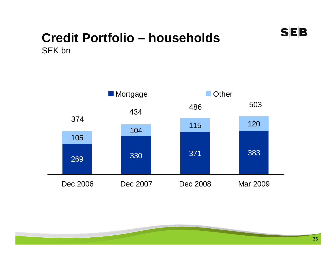

### **Credit Portfolio – households**  SEK bn

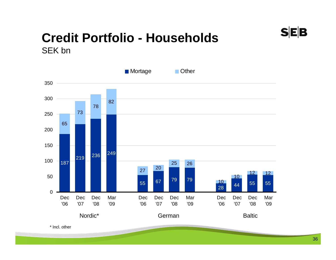### **Credit Portfolio - Households**  SEK bn



\* Incl. other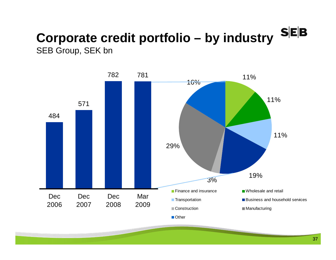#### $S$ **E** $B$ **Corporate credit portfolio – by industry**  SEB Group, SEK bn

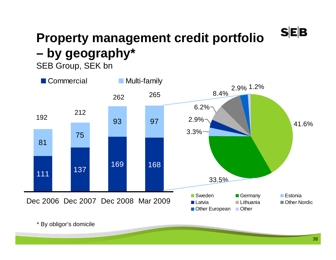### **Property management credit portfolio – by geography\***

#### SEB Group, SEK bn



\* By obligor's domicile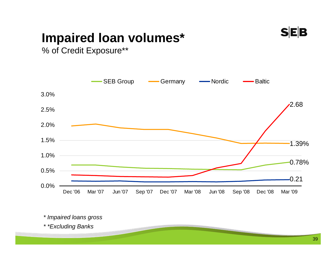

#### **Impaired loan volumes\***

% of Credit Exposure\*\*



*\* Impaired loans gross*

*\* \*Excluding Banks*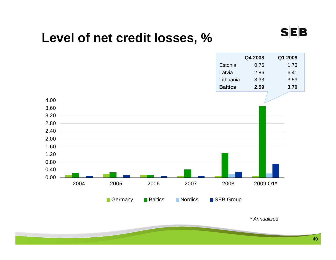#### **Level of net credit losses, %**



*\* Annualized*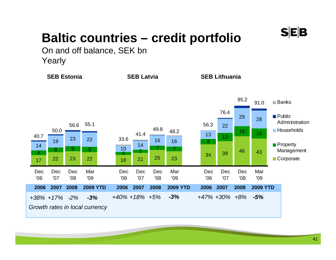

#### **Baltic countries – credit portfolio**

On and off balance, SEK bn Yearly



41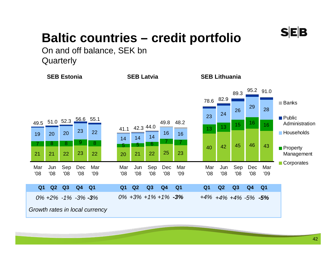

#### **Baltic countries – credit portfolio**

On and off balance, SEK bn **Quarterly** 

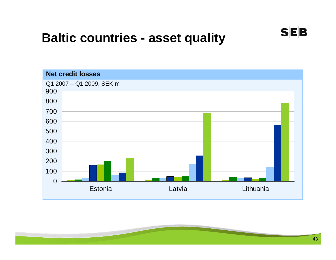#### **Baltic countries - asset quality**

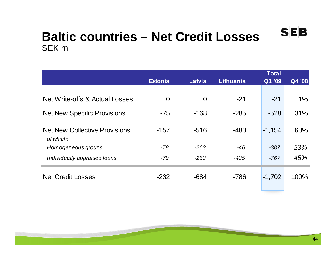#### **Baltic countries – Net Credit Losses**  SEK m

|                                                   |                |                |                  | Total                |        |
|---------------------------------------------------|----------------|----------------|------------------|----------------------|--------|
|                                                   | <b>Estonia</b> | Latvia         | <b>Lithuania</b> | $\overline{Q}$ 1 '09 | Q4 '08 |
|                                                   |                |                |                  |                      |        |
| Net Write-offs & Actual Losses                    | $\overline{0}$ | $\overline{0}$ | $-21$            | $-21$                | 1%     |
| <b>Net New Specific Provisions</b>                | $-75$          | $-168$         | $-285$           | $-528$               | 31%    |
| <b>Net New Collective Provisions</b><br>of which: | $-157$         | $-516$         | $-480$           | $-1,154$             | 68%    |
| Homogeneous groups                                | $-78$          | $-263$         | $-46$            | $-387$               | 23%    |
| Individually appraised loans                      | $-79$          | $-253$         | $-435$           | $-767$               | 45%    |
| <b>Net Credit Losses</b>                          | $-232$         | $-684$         | $-786$           | $-1,702$             | 100%   |

 $S|E|B$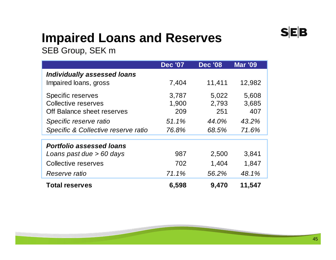### **Impaired Loans and Reserves**

SEB Group, SEK m

|                                     | <b>Dec '07</b> | <b>Dec '08</b> | <b>Mar '09</b> |
|-------------------------------------|----------------|----------------|----------------|
| <b>Individually assessed loans</b>  |                |                |                |
| Impaired loans, gross               | 7,404          | 11,411         | 12,982         |
| <b>Specific reserves</b>            | 3,787          | 5,022          | 5,608          |
| Collective reserves                 | 1,900          | 2,793          | 3,685          |
| Off Balance sheet reserves          | 209            | 251            | 407            |
| Specific reserve ratio              | 51.1%          | 44.0%          | 43.2%          |
| Specific & Collective reserve ratio | 76.8%          | 68.5%          | 71.6%          |
|                                     |                |                |                |
| <b>Portfolio assessed loans</b>     |                |                |                |
| Loans past due > 60 days            | 987            | 2,500          | 3,841          |
| Collective reserves                 | 702            | 1,404          | 1,847          |
| Reserve ratio                       | 71.1%          | 56.2%          | 48.1%          |
| <b>Total reserves</b>               | 6,598          | 9,470          | 11,547         |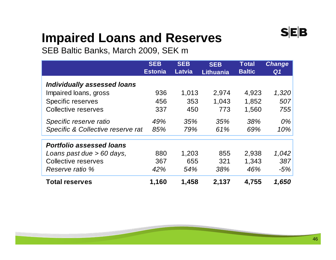#### **Impaired Loans and Reserves**

SEB Baltic Banks, March 2009, SEK m

|                                    | <b>SEB</b><br><b>Estonia</b> | <b>SEB</b><br><b>Latvia</b> | <b>SEB</b><br><b>Lithuania</b> | <b>Total</b><br><b>Baltic</b> | <b>Change</b><br>Q <sub>1</sub> |
|------------------------------------|------------------------------|-----------------------------|--------------------------------|-------------------------------|---------------------------------|
| <b>Individually assessed loans</b> |                              |                             |                                |                               |                                 |
| Impaired loans, gross              | 936                          | 1,013                       | 2,974                          | 4,923                         | 1,320                           |
| <b>Specific reserves</b>           | 456                          | 353                         | 1,043                          | 1,852                         | 507                             |
| Collective reserves                | 337                          | 450                         | 773                            | 1,560                         | 755                             |
| Specific reserve ratio             | 49%                          | 35%                         | 35%                            | 38%                           | 0%                              |
| Specific & Collective reserve rat  | 85%                          | 79%                         | 61%                            | 69%                           | 10%                             |
| <b>Portfolio assessed loans</b>    |                              |                             |                                |                               |                                 |
| Loans past due > 60 days,          | 880                          | 1,203                       | 855                            | 2,938                         | 1,042                           |
| Collective reserves                | 367                          | 655                         | 321                            | 1,343                         | 387                             |
| Reserve ratio %                    | 42%                          | 54%                         | 38%                            | 46%                           | $-5%$                           |
| <b>Total reserves</b>              | 1,160                        | 1,458                       | 2,137                          | 4,755                         | 1,650                           |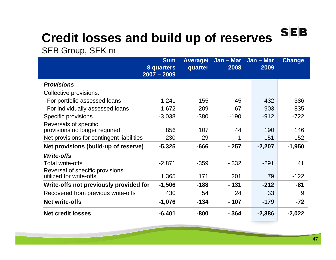#### $S$ **E**B **Credit losses and build up of reserves**

#### SEB Group, SEK m

|                                           | <b>Sum</b><br>8 quarters<br>$2007 - 2009$ | <b>Average/</b><br>quarter | Jan – Mar Jan – Mar<br>2008 | 2009     | <b>Change</b> |
|-------------------------------------------|-------------------------------------------|----------------------------|-----------------------------|----------|---------------|
| <b>Provisions</b>                         |                                           |                            |                             |          |               |
| Collective provisions:                    |                                           |                            |                             |          |               |
| For portfolio assessed loans              | $-1,241$                                  | $-155$                     | $-45$                       | $-432$   | $-386$        |
| For individually assessed loans           | $-1,672$                                  | $-209$                     | $-67$                       | $-903$   | $-835$        |
| Specific provisions                       | $-3,038$                                  | $-380$                     | $-190$                      | $-912$   | $-722$        |
| Reversals of specific                     |                                           |                            |                             |          |               |
| provisions no longer required             | 856                                       | 107                        | 44                          | 190      | 146           |
| Net provisions for contingent liabilities | $-230$                                    | $-29$                      | 1                           | $-151$   | $-152$        |
| Net provisions (build-up of reserve)      | $-5,325$                                  | $-666$                     | $-257$                      | $-2,207$ | $-1,950$      |
| <b>Write-offs</b>                         |                                           |                            |                             |          |               |
| <b>Total write-offs</b>                   | $-2,871$                                  | $-359$                     | $-332$                      | $-291$   | 41            |
| Reversal of specific provisions           |                                           |                            |                             |          |               |
| utilized for write-offs                   | 1,365                                     | 171                        | 201                         | 79       | $-122$        |
| Write-offs not previously provided for    | $-1,506$                                  | $-188$                     | $-131$                      | $-212$   | $-81$         |
| Recovered from previous write-offs        | 430                                       | 54                         | 24                          | 33       | 9             |
| <b>Net write-offs</b>                     | $-1,076$                                  | $-134$                     | $-107$                      | $-179$   | $-72$         |
| <b>Net credit losses</b>                  | $-6,401$                                  | $-800$                     | $-364$                      | $-2,386$ | $-2,022$      |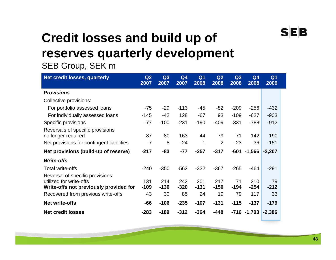### **Credit losses and build up of reserves quarterly development**

#### SEB Group, SEK m

| Net credit losses, quarterly                                                                         | Q <sub>2</sub><br>2007 | Q <sub>3</sub><br>2007 | Q <sub>4</sub><br>2007 | Q <sub>1</sub><br>2008 | Q <sub>2</sub><br>2008 | Q3<br>2008   | Q <sub>4</sub><br>2008 | Q <sub>1</sub><br>2009 |  |
|------------------------------------------------------------------------------------------------------|------------------------|------------------------|------------------------|------------------------|------------------------|--------------|------------------------|------------------------|--|
| <b>Provisions</b>                                                                                    |                        |                        |                        |                        |                        |              |                        |                        |  |
| <b>Collective provisions:</b>                                                                        |                        |                        |                        |                        |                        |              |                        |                        |  |
| For portfolio assessed loans                                                                         | -75                    | $-29$                  | $-113$                 | -45                    | $-82$                  | $-209$       | $-256$                 | $-432$                 |  |
| For individually assessed loans                                                                      | $-145$                 | $-42$                  | 128                    | $-67$                  | 93                     | $-109$       | $-627$                 | $-903$                 |  |
| Specific provisions                                                                                  | -77                    | $-100$                 | $-231$                 | $-190$                 | $-409$                 | $-331$       | $-788$                 | $-912$                 |  |
| Reversals of specific provisions<br>no longer required                                               | 87                     | 80                     | 163                    | 44                     | 79                     | 71           | 142                    | 190                    |  |
| Net provisions for contingent liabilities                                                            | $-7$                   | 8                      | $-24$                  | 1                      | $\overline{2}$         | $-23$        | $-36$                  | $-151$                 |  |
| Net provisions (build-up of reserve)                                                                 | $-217$                 | -83                    | $-77$                  | $-257$                 | $-317$                 | $-601$       | $-1,566$               | $-2,207$               |  |
| <b>Write-offs</b>                                                                                    |                        |                        |                        |                        |                        |              |                        |                        |  |
| <b>Total write-offs</b>                                                                              | $-240$                 | $-350$                 | $-562$                 | $-332$                 | $-367$                 | $-265$       | $-464$                 | $-291$                 |  |
| Reversal of specific provisions<br>utilized for write-offs<br>Write-offs not previously provided for | 131<br>$-109$          | 214<br>$-136$          | 242<br>$-320$          | 201<br>$-131$          | 217<br>$-150$          | 71<br>$-194$ | 210<br>$-254$          | 79<br>$-212$           |  |
| Recovered from previous write-offs                                                                   | 43                     | 30                     | 85                     | 24                     | 19                     | 79           | 117                    | 33                     |  |
| <b>Net write-offs</b>                                                                                | -66                    | $-106$                 | $-235$                 | $-107$                 | $-131$                 | $-115$       | $-137$                 | $-179$                 |  |
| <b>Net credit losses</b>                                                                             | $-283$                 | $-189$                 | $-312$                 | $-364$                 | $-448$                 |              | $-716 - 1,703$         | $-2,386$               |  |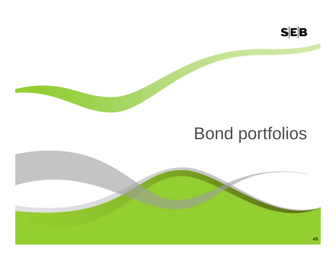

## Bond portfolios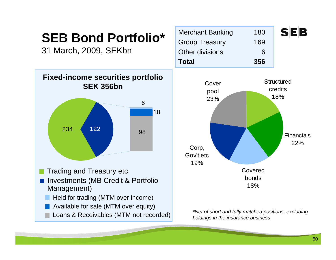### **SEB Bond Portfolio\***

31 March, 2009, SEKbn



| <b>Merchant Banking</b> | 180 | <b>SEE</b> |
|-------------------------|-----|------------|
| <b>Group Treasury</b>   | 169 |            |
| Other divisions         | 6   |            |
| <b>Total</b>            | 356 |            |



*\*Net of short and fully matched positions; excluding holdings in the insurance business*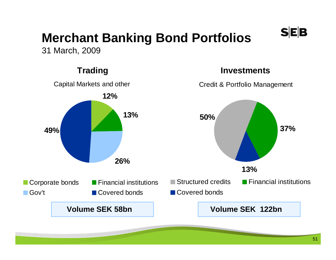### **Merchant Banking Bond Portfolios**

31 March, 2009



#### **Trading Investments**

**SEB** 

Credit & Portfolio Management

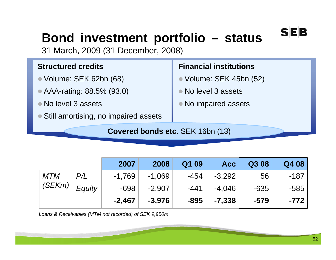### **Bond investment portfolio – status**

31 March, 2009 (31 December, 2008)

#### **Structured credits**

- Volume: SEK 62bn (68)
- AAA-rating: 88.5% (93.0)
- No level 3 assets
- Still amortising, no impaired assets

#### **Financial institutions**

- Volume: SEK 45bn (52)
- No level 3 assets
- No impaired assets

**Covered bonds etc.** SEK 16bn (13)

|            |        | 2007     | 2008     | Q1 09  | <b>Acc</b> | Q308   | Q4 08  |
|------------|--------|----------|----------|--------|------------|--------|--------|
| <b>MTM</b> | P/L    | $-1.769$ | $-1,069$ | -454   | $-3,292$   | 56     | $-187$ |
| (SEKm)     | Equity | $-698$   | $-2,907$ | $-441$ | $-4.046$   | $-635$ | $-585$ |
|            |        | $-2,467$ | $-3.976$ | $-895$ | $-7,338$   | $-579$ | $-772$ |

*Loans & Receivables (MTM not recorded) of SEK 9,950m*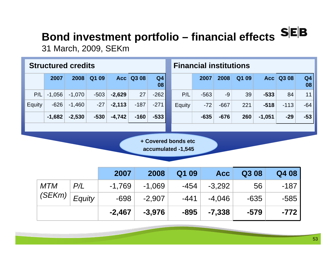# **Bond investment portfolio – financial effects SEB**

31 March, 2009, SEKm

|                                           | <b>Structured credits</b> |          |        |          |        |                      |  | <b>Financial institutions</b> |        |            |       |          |             |                      |
|-------------------------------------------|---------------------------|----------|--------|----------|--------|----------------------|--|-------------------------------|--------|------------|-------|----------|-------------|----------------------|
|                                           | 2007                      | 2008     | Q1 09  | Acc      | Q3 08  | Q <sub>4</sub><br>08 |  |                               | 2007   | 2008       | Q1 09 |          | Acc   Q3 08 | Q <sub>4</sub><br>08 |
| P/L                                       | $-1,056$                  | $-1,070$ | $-503$ | $-2,629$ | 27     | $-262$               |  | P/L                           | $-563$ | $-9$       | 39    | $-533$   | 84          | 11                   |
| Equity                                    | $-626$                    | $-1,460$ | $-27$  | $-2,113$ | $-187$ | $-271$               |  | Equity                        | $-72$  | $-667$     | 221   | $-518$   | $-113$      | $-64$                |
|                                           | $-1,682$                  | $-2,530$ | $-530$ | $-4,742$ | $-160$ | $-533$               |  |                               | $-635$ | $-676$     | 260   | $-1,051$ | $-29$       | $-53$                |
|                                           |                           |          |        |          |        |                      |  |                               |        |            |       |          |             |                      |
| + Covered bonds etc<br>accumulated -1,545 |                           |          |        |          |        |                      |  |                               |        |            |       |          |             |                      |
|                                           |                           |          |        | 2007     |        | 2008                 |  | Q1 09                         |        | <b>Acc</b> | Q308  |          | Q4 08       |                      |

|                      |        | 2007     | 2008     | Q1 09  | <b>Acc</b> | Q3 08  | Q4 08  |
|----------------------|--------|----------|----------|--------|------------|--------|--------|
| <b>MTM</b><br>(SEKm) | P/L    | $-1,769$ | $-1,069$ | -454   | $-3,292$   | 56     | -187   |
|                      | Equity | $-698$   | $-2,907$ | $-441$ | $-4,046$   | $-635$ | $-585$ |
|                      |        | $-2,467$ | $-3.976$ | $-895$ | $-7,338$   | $-579$ | $-772$ |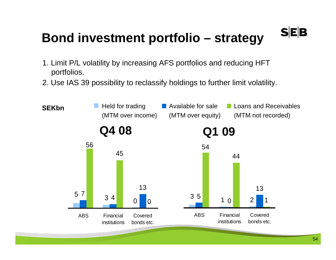### **Bond investment portfolio – strategy**

- 1. Limit P/L volatility by increasing AFS portfolios and reducing HFT portfolios.
- 2. Use IAS 39 possibility to reclassify holdings to further limit volatility.

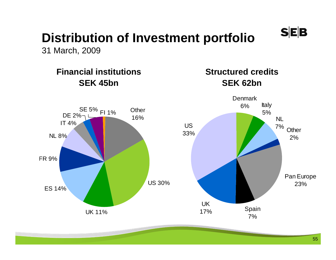### **Distribution of Investment portfolio**

31 March, 2009

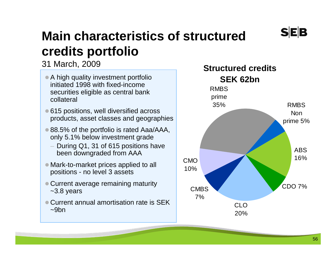### **Main characteristics of structured credits portfolio**

31 March, 2009

- A high quality investment portfolio initiated 1998 with fixed-income securities eligible as central bank collateral
- 615 positions, well diversified across products, asset classes and geographies
- 88.5% of the portfolio is rated Aaa/AAA, only 5.1% below investment grade
	- During Q1, 31 of 615 positions have been downgraded from AAA
- Mark-to-market prices applied to all positions - no level 3 assets
- Current average remaining maturity ~3.8 years
- $\bullet$  Current annual amortisation rate is SEK  $~\sim$ 9 $~$ on

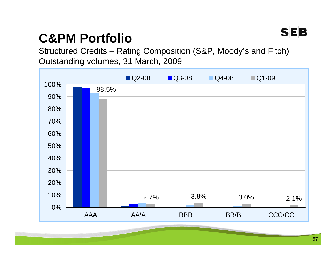

#### **C&PM Portfolio**

Structured Credits – Rating Composition (S&P, Moody's and Fitch) Outstanding volumes, 31 March, 2009

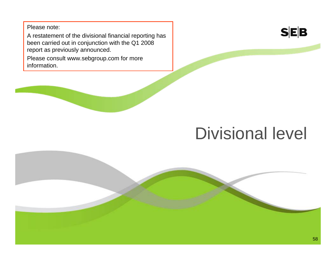Please note:

A restatement of the divisional financial reporting has been carried out in conjunction with the Q1 2008 report as previously announced.

Please consult www.sebgroup.com for more information.



## Divisional level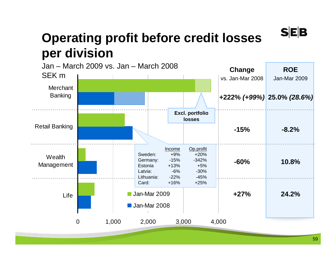#### **Operating profit before credit losses per division**

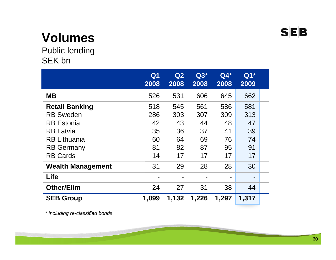### **Volumes**

Public lending SEK bn

|                          | Q <sub>1</sub><br>2008 | Q2<br>2008 | $Q3*$<br>2008 | $Q4*$<br>2008  | $Q1*$<br>2009 |  |
|--------------------------|------------------------|------------|---------------|----------------|---------------|--|
| <b>MB</b>                | 526                    | 531        | 606           | 645            | 662           |  |
| <b>Retail Banking</b>    | 518                    | 545        | 561           | 586            | 581           |  |
| <b>RB Sweden</b>         | 286                    | 303        | 307           | 309            | 313           |  |
| <b>RB</b> Estonia        | 42                     | 43         | 44            | 48             | 47            |  |
| <b>RB Latvia</b>         | 35                     | 36         | 37            | 41             | 39            |  |
| <b>RB Lithuania</b>      | 60                     | 64         | 69            | 76             | 74            |  |
| <b>RB Germany</b>        | 81                     | 82         | 87            | 95             | 91            |  |
| <b>RB Cards</b>          | 14                     | 17         | 17            | 17             | 17            |  |
| <b>Wealth Management</b> | 31                     | 29         | 28            | 28             | 30            |  |
| <b>Life</b>              |                        |            |               | $\blacksquare$ | -             |  |
| <b>Other/Elim</b>        | 24                     | 27         | 31            | 38             | 44            |  |
| <b>SEB Group</b>         | 1,099                  | 1,132      | 1,226         | 1,297          | 1,317         |  |

*\* Including re-classified bonds*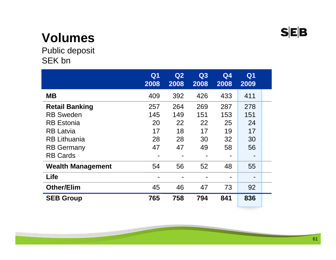### **Volumes**

Public deposit SEK bn

|                          | Q <sub>1</sub><br>2008 | Q2<br>2008 | Q3<br>2008 | Q <sub>4</sub><br>2008 | Q <sub>1</sub><br>2009   |  |
|--------------------------|------------------------|------------|------------|------------------------|--------------------------|--|
| <b>MB</b>                | 409                    | 392        | 426        | 433                    | 411                      |  |
| <b>Retail Banking</b>    | 257                    | 264        | 269        | 287                    | 278                      |  |
| <b>RB Sweden</b>         | 145                    | 149        | 151        | 153                    | 151                      |  |
| <b>RB</b> Estonia        | 20                     | 22         | 22         | 25                     | 24                       |  |
| <b>RB Latvia</b>         | 17                     | 18         | 17         | 19                     | 17                       |  |
| <b>RB Lithuania</b>      | 28                     | 28         | 30         | 32                     | 30                       |  |
| <b>RB Germany</b>        | 47                     | 47         | 49         | 58                     | 56                       |  |
| <b>RB Cards</b>          |                        |            |            |                        | $\overline{\phantom{0}}$ |  |
| <b>Wealth Management</b> | 54                     | 56         | 52         | 48                     | 55                       |  |
| <b>Life</b>              |                        |            |            |                        | $\overline{\phantom{0}}$ |  |
| <b>Other/Elim</b>        | 45                     | 46         | 47         | 73                     | 92                       |  |
| <b>SEB Group</b>         | 765                    | 758        | 794        | 841                    | 836                      |  |

**CONTRACTOR**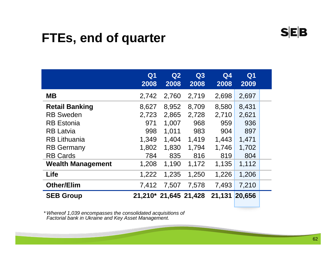#### **FTEs, end of quarter**

|                                                                                                                                | Q <sub>1</sub><br>2008                         | Q2<br>2008                                         | Q3<br>2008                                     | Q <sub>4</sub><br>2008                         | Q <sub>1</sub><br>2009                         |  |
|--------------------------------------------------------------------------------------------------------------------------------|------------------------------------------------|----------------------------------------------------|------------------------------------------------|------------------------------------------------|------------------------------------------------|--|
| <b>MB</b>                                                                                                                      | 2,742                                          | 2,760                                              | 2,719                                          | 2,698                                          | 2,697                                          |  |
| <b>Retail Banking</b><br><b>RB Sweden</b><br><b>RB</b> Estonia<br><b>RB Latvia</b><br><b>RB Lithuania</b><br><b>RB Germany</b> | 8,627<br>2,723<br>971<br>998<br>1,349<br>1,802 | 8,952<br>2,865<br>1,007<br>1,011<br>1,404<br>1,830 | 8,709<br>2,728<br>968<br>983<br>1,419<br>1,794 | 8,580<br>2,710<br>959<br>904<br>1,443<br>1,746 | 8,431<br>2,621<br>936<br>897<br>1,471<br>1,702 |  |
| <b>RB Cards</b><br><b>Wealth Management</b>                                                                                    | 784<br>1,208                                   | 835<br>1,190                                       | 816<br>1,172                                   | 819<br>1,135                                   | 804<br>1,112                                   |  |
| Life                                                                                                                           | 1,222                                          | 1,235                                              | 1,250                                          | 1,226                                          | 1,206                                          |  |
| <b>Other/Elim</b>                                                                                                              | 7,412                                          | 7,507                                              | 7,578                                          | 7,493                                          | 7,210                                          |  |
| <b>SEB Group</b>                                                                                                               | 21,210* 21,645 21,428                          |                                                    |                                                | 21,131                                         | 20,656                                         |  |

*\* Whereof 1,039 encompasses the consolidated acquisitions of Factorial bank in Ukraine and Key Asset Management.*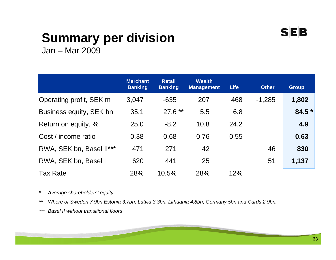#### **SEB**

### **Summary per division**

Jan – Mar 2009

|                          | <b>Merchant</b><br><b>Banking</b> | <b>Retail</b><br><b>Banking</b> | <b>Wealth</b><br><b>Management</b> | <b>Life</b> | <b>Other</b> | <b>Group</b> |
|--------------------------|-----------------------------------|---------------------------------|------------------------------------|-------------|--------------|--------------|
| Operating profit, SEK m  | 3,047                             | $-635$                          | 207                                | 468         | $-1,285$     | 1,802        |
| Business equity, SEK bn  | 35.1                              | $27.6**$                        | 5.5                                | 6.8         |              | 84.5 *       |
| Return on equity, %      | 25.0                              | $-8.2$                          | 10.8                               | 24.2        |              | 4.9          |
| Cost / income ratio      | 0.38                              | 0.68                            | 0.76                               | 0.55        |              | 0.63         |
| RWA, SEK bn, Basel II*** | 471                               | 271                             | 42                                 |             | 46           | 830          |
| RWA, SEK bn, Basel I     | 620                               | 441                             | 25                                 |             | 51           | 1,137        |
| <b>Tax Rate</b>          | 28%                               | 10.5%                           | 28%                                | 12%         |              |              |

*\* Average shareholders' equity*

*\*\* Where of Sweden 7.9bn Estonia 3.7bn, Latvia 3.3bn, Lithuania 4.8bn, Germany 5bn and Cards 2.9bn.*

*\*\*\* Basel II without transitional floors*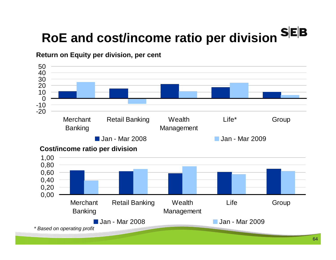# **RoE and cost/income ratio per division**

#### **Return on Equity per division, per cent**



*\* Based on operating profit*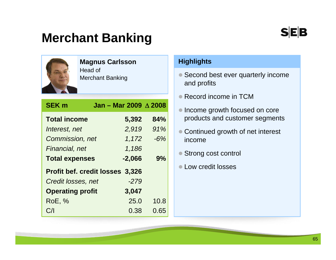#### **Merchant Banking**



#### **Magnus Carlsson**

Head of Merchant Banking

| <b>SEK m</b>                           | Jan - Mar 2009 $\triangle$ 2008 |       |  |  |  |  |
|----------------------------------------|---------------------------------|-------|--|--|--|--|
| <b>Total income</b>                    | 5,392                           | 84%   |  |  |  |  |
| Interest, net                          | 2,919                           | 91%   |  |  |  |  |
| Commission, net                        | 1,172                           | $-6%$ |  |  |  |  |
| Financial, net                         | 1,186                           |       |  |  |  |  |
| <b>Total expenses</b>                  | $-2,066$                        | 9%    |  |  |  |  |
| <b>Profit bef. credit losses 3,326</b> |                                 |       |  |  |  |  |
| Credit losses, net                     | $-279$                          |       |  |  |  |  |
| <b>Operating profit</b>                | 3,047                           |       |  |  |  |  |
| <b>RoE, %</b>                          | 25.0                            | 10.8  |  |  |  |  |
| C/I                                    | 0.38                            | 0.65  |  |  |  |  |

#### **Highlights**

- Second best ever quarterly income and profits
- Record income in TCM
- Income growth focused on core products and customer segments
- $\bullet$  Continued growth of net interest income
- $\bullet$ Strong cost control
- Low credit losses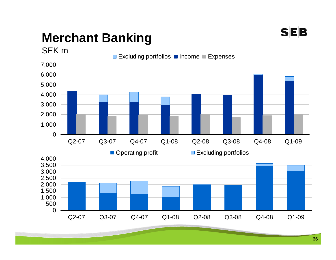

### **Merchant Banking**

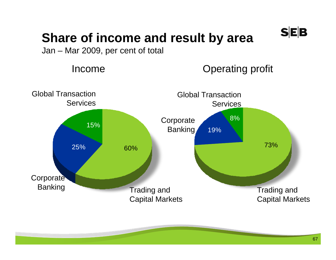

#### **Share of income and result by area**

Jan – Mar 2009, per cent of total

Income

Operating profit

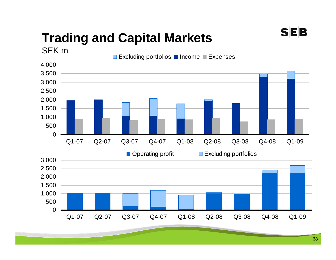### **Trading and Capital Markets**

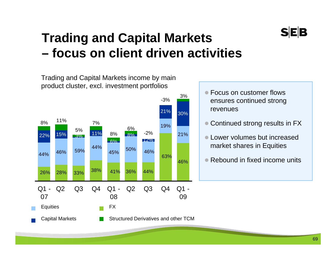#### **Trading and Capital Markets – focus on client driven activities**

Trading and Capital Markets income by main product cluster, excl. investment portfolios



● Focus on customer flows ensures continued strong revenues

- $\bullet$ Continued strong results in FX
- Lower volumes but increased market shares in Equities
- Rebound in fixed income units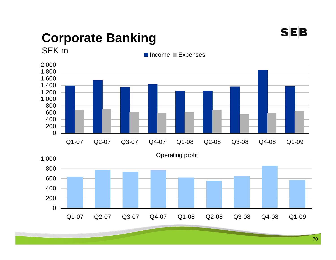

### **Corporate Banking**

SEK m

Income Expenses

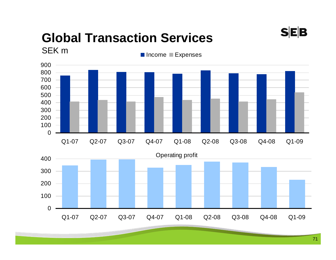#### **Global Transaction Services**  SEK m

Operating profit Q1-07 Q2-07 Q3-07 Q4-07 Q1-08 Q2-08 Q3-08 Q4-08 Q1-09 Income Expenses

Q1-07 Q2-07 Q3-07 Q4-07 Q1-08 Q2-08 Q3-08 Q4-08 Q1-09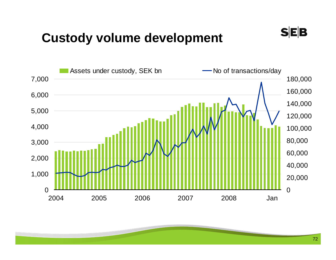#### **Custody volume development**



 $S|E|B$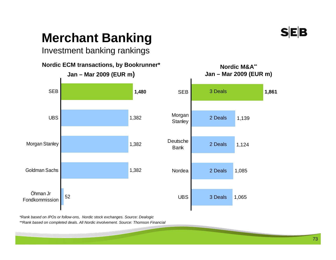### **Merchant Banking**

Investment banking rankings



*\*Rank based on IPOs or follow-ons, Nordic stock exchanges. Source: Dealogic \*\*Rank based on completed deals. All Nordic involvement. Source: Thomson Financial*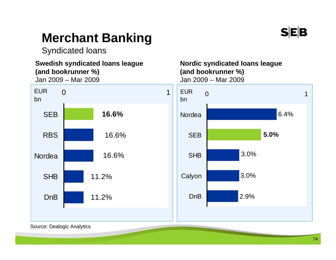

### **Merchant Banking**

Syndicated loans

#### **Swedish syndicated loans league (and bookrunner %)**  Jan 2009 – Mar 2009



**Nordic syndicated loans league (and bookrunner %)**  Jan 2009 – Mar 2009



Source: Dealogic Analytics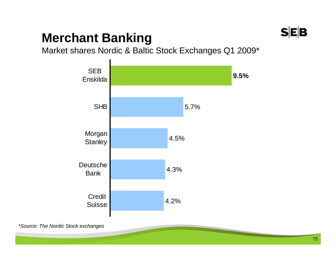### **SEB**

### **Merchant Banking**

Market shares Nordic & Baltic Stock Exchanges Q1 2009\*



*\*Source: The Nordic Stock exchanges*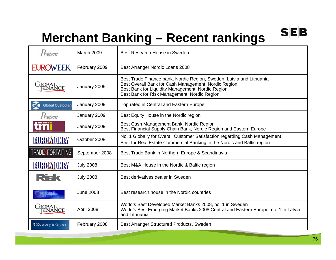### **Merchant Banking – Recent rankings**

| Prospera                | <b>March 2009</b> | Best Research House in Sweden                                                                                                                                                                                                     |
|-------------------------|-------------------|-----------------------------------------------------------------------------------------------------------------------------------------------------------------------------------------------------------------------------------|
| <b>EUROWEEK</b>         | February 2009     | Best Arranger Nordic Loans 2008                                                                                                                                                                                                   |
|                         | January 2009      | Best Trade Finance bank, Nordic Region, Sweden, Latvia and Lithuania<br>Best Overall Bank for Cash Management, Nordic Region<br>Best Bank for Liquidity Management, Nordic Region<br>Best Bank for Risk Management, Nordic Region |
| <b>Global Custodian</b> | January 2009      | Top rated in Central and Eastern Europe                                                                                                                                                                                           |
| Frospera                | January 2009      | Best Equity House in the Nordic region                                                                                                                                                                                            |
|                         | January 2009      | Best Cash Management Bank, Nordic Region<br>Best Financial Supply Chain Bank, Nordic Region and Eastern Europe                                                                                                                    |
| 131131437013187         | October 2008      | No. 1 Globally for Overall Customer Satisfaction regarding Cash Management<br>Best for Real Estate Commercial Banking in the Nordic and Baltic region                                                                             |
| <b>TRADE FORFAITING</b> | September 2008    | Best Trade Bank in Northern Europe & Scandinavia                                                                                                                                                                                  |
| EU ROMON 87             | <b>July 2008</b>  | Best M&A House in the Nordic & Baltic region                                                                                                                                                                                      |
| Risk                    | <b>July 2008</b>  | Best derivatives dealer in Sweden                                                                                                                                                                                                 |
|                         | <b>June 2008</b>  | Best research house in the Nordic countries                                                                                                                                                                                       |
|                         | April 2008        | World's Best Developed Market Banks 2008, no. 1 in Sweden<br>World's Best Emerging Market Banks 2008 Central and Eastern Europe, no. 1 in Latvia<br>and Lithuania                                                                 |
| Söderberg & Partners    | February 2008     | Best Arranger Structured Products, Sweden                                                                                                                                                                                         |

 $S|E|B$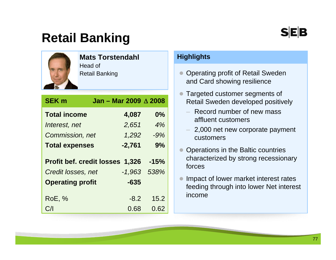### **Retail Banking**



#### **Mats Torstendahl**

Head of Retail Banking

| <b>SEK m</b>            | Jan - Mar 2009 A 2008           |        |
|-------------------------|---------------------------------|--------|
| <b>Total income</b>     | 4,087                           | $0\%$  |
| Interest, net           | 2,651                           | 4%     |
| Commission, net         | 1,292                           | $-9%$  |
| <b>Total expenses</b>   | $-2,761$                        | 9%     |
|                         | Profit bef. credit losses 1,326 | $-15%$ |
| Credit losses, net      | $-1,963$                        | 538%   |
| <b>Operating profit</b> | $-635$                          |        |
| <b>RoE, %</b>           | $-8.2$                          | 15.2   |
| C/                      | 0.68                            | 0.62   |

#### **Highlights**

- $\bullet$  Operating profit of Retail Sweden and Card showing resilience
- $\bullet$  Targeted customer segments of Retail Sweden developed positively
	- Record number of new mass affluent customers
	- 2,000 net new corporate payment customers
- $\bullet$  Operations in the Baltic countries characterized by strong recessionary forces
- $\bullet$  Impact of lower market interest rates feeding through into lower Net interest income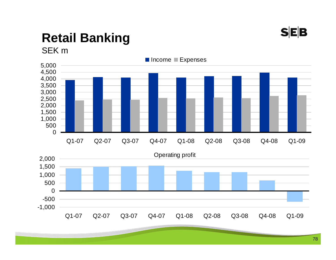

# **Retail Banking**

SEK m

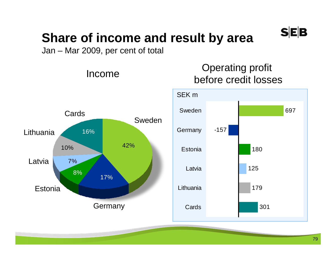

### **Share of income and result by area**

Jan – Mar 2009, per cent of total

Income





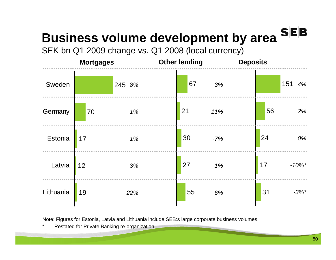## **Business volume development by area**

SEK bn Q1 2009 change vs. Q1 2008 (local currency)



Note: Figures for Estonia, Latvia and Lithuania include SEB:s large corporate business volumes

Restated for Private Banking re-organization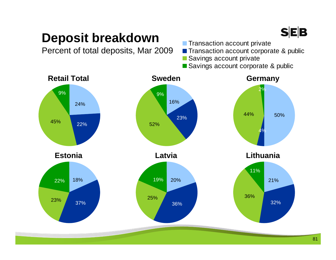### **SEB**

### **Deposit breakdown**

Percent of total deposits, Mar 2009

- **Transaction account private**
- Transaction account corporate & public
- Savings account private
- Savings account corporate & public

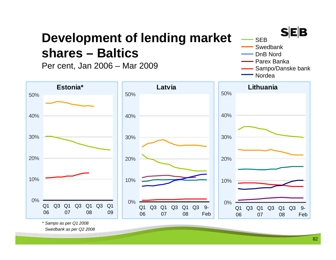### **Development of lending market shares – Baltics**

Per cent, Jan 2006 – Mar 2009



*\* Sampo as per Q1 2008*

*Swedbank as per Q2 2008*

**SEB** 

SwedbankDnB NordParex Banka

Sampo/Danske bank

**SEB**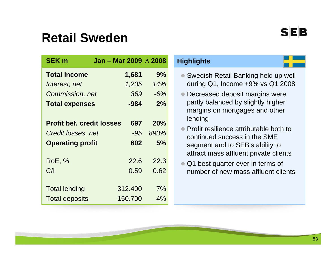### **Retail Sweden**

| <b>SEK m</b>                     | Jan - Mar 2009 $\triangle$ 2008 |       |
|----------------------------------|---------------------------------|-------|
| <b>Total income</b>              | 1,681                           | 9%    |
| Interest, net                    | 1,235                           | 14%   |
| Commission, net                  | 369                             | $-6%$ |
| <b>Total expenses</b>            | -984                            | 2%    |
|                                  |                                 |       |
| <b>Profit bef. credit losses</b> | 697                             | 20%   |
| Credit losses, net               | -95                             | 893%  |
| <b>Operating profit</b>          | 602                             | 5%    |
| <b>RoE, %</b>                    | 22.6                            | 22.3  |
| C/I                              | 0.59                            | 0.62  |
|                                  |                                 |       |
| <b>Total lending</b>             | 312.400                         | 7%    |
| <b>Total deposits</b>            | 150.700                         | 4%    |

#### **Highlights**

- Swedish Retail Banking held up well during Q1, Income +9% vs Q1 2008
- Decreased deposit margins were partly balanced by slightly higher margins on mortgages and other lending
- Profit resilience attributable both to continued success in the SME segment and to SEB's ability to attract mass affluent private clients
- Q1 best quarter ever in terms of number of new mass affluent clients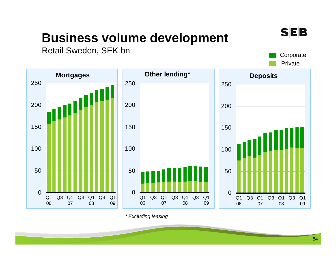### **Business volume development**

Retail Sweden, SEK bn



*\* Excluding leasing*

**SEB** 

**Corporate** Private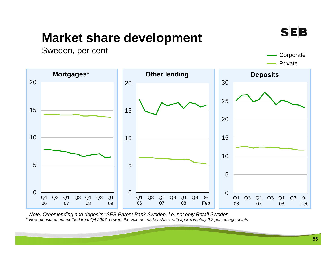### **Market share development**

Sweden, per cent Company Company Company Company Company Company Company Company Company Company Company Company Company Company Company Company Company Company Company Company Company Company Company Company Company Compa

Private



*Note: Other lending and deposits=SEB Parent Bank Sweden, i.e. not only Retail Sweden \* New measurement method from Q4 2007. Lowers the volume market share with approximately 0.2 percentage points*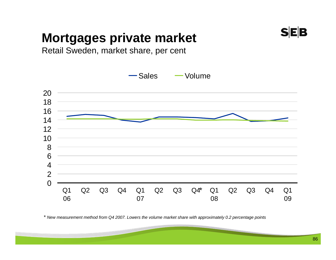### **Mortgages private market**



Retail Sweden, market share, per cent



*\* New measurement method from Q4 2007. Lowers the volume market share with approximately 0.2 percentage points*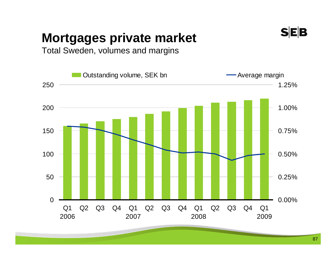### **Mortgages private market**



Total Sweden, volumes and margins

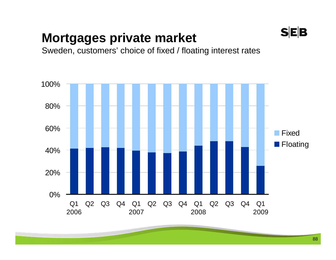### **Mortgages private market**





**SEB**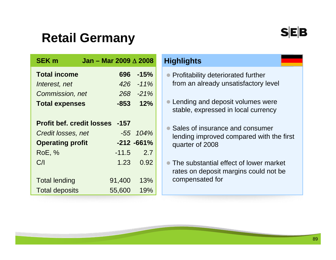### **Retail Germany**

| <b>SEK m</b>                          | Jan - Mar 2009 $\triangle$ 2008 |               |
|---------------------------------------|---------------------------------|---------------|
| <b>Total income</b>                   | 696                             | $-15%$        |
| Interest, net                         |                                 | 426 -11%      |
| Commission, net                       |                                 | 268 -21%      |
| <b>Total expenses</b>                 |                                 | $-853$ 12%    |
|                                       |                                 |               |
| <b>Profit bef. credit losses -157</b> |                                 |               |
| Credit losses, net                    |                                 | $-55$ $104\%$ |
| <b>Operating profit</b>               |                                 | $-212 - 661%$ |
| <b>RoE, %</b>                         |                                 | $-11.5$ 2.7   |
| C/1                                   |                                 | 1.23 0.92     |
|                                       |                                 |               |
| <b>Total lending</b>                  | 91,400                          | 13%           |
| <b>Total deposits</b>                 | 55,600                          | 19%           |

#### **Highlights**

- Profitability deteriorated further from an already unsatisfactory level
- Lending and deposit volumes were stable, expressed in local currency
- Sales of insurance and consumer lending improved compared with the first quarter of 2008
- $\bullet$  The substantial effect of lower market rates on deposit margins could not be compensated for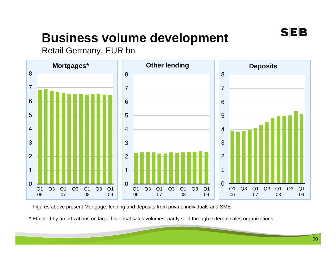

### **Business volume development**

Retail Germany, EUR bn



Figures above present Mortgage, lending and deposits from private individuals and SME

\* Effected by amortizations on large historical sales volumes, partly sold through external sales organizations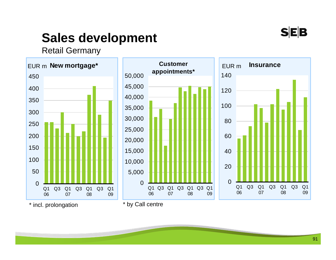

### **Sales development**

Retail Germany



\* incl. prolongation

\* by Call centre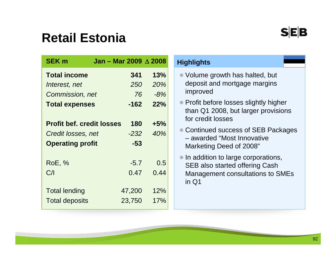### **Retail Estonia**

| <b>SEK m</b>                     | Jan – Mar 2009 $\triangle$ 2008 |       |
|----------------------------------|---------------------------------|-------|
| <b>Total income</b>              | 341                             | 13%   |
| Interest, net                    | 250                             | 20%   |
| Commission, net                  | 76                              | $-8%$ |
| <b>Total expenses</b>            | $-162$                          | 22%   |
|                                  |                                 |       |
| <b>Profit bef. credit losses</b> | 180                             | $+5%$ |
| Credit losses, net               | -232                            | 40%   |
| <b>Operating profit</b>          | $-53$                           |       |
|                                  |                                 |       |
| <b>RoE, %</b>                    | $-5.7$                          | 0.5   |
| C/                               | 0.47                            | 0.44  |
|                                  |                                 |       |
| <b>Total lending</b>             | 47,200                          | 12%   |
| <b>Total deposits</b>            | 23,750                          | 17%   |

#### **Highlights**

- Volume growth has halted, but deposit and mortgage margins improved
- Profit before losses slightly higher than Q1 2008, but larger provisions for credit losses
- Continued success of SEB Packages – awarded "Most Innovative Marketing Deed of 2008"
- In addition to large corporations, SEB also started offering Cash Management consultations to SMEs in Q1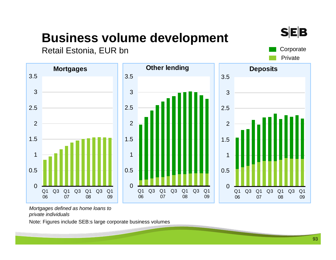### **Business volume development**



**SEB** 

Private



*Mortgages defined as home loans to private individuals*

Note: Figures include SEB:s large corporate business volumes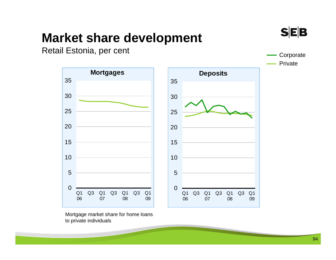### **Market share development**



Private

Retail Estonia, per cent Corporate Corporate Corporate



Mortgage market share for home loans to private individuals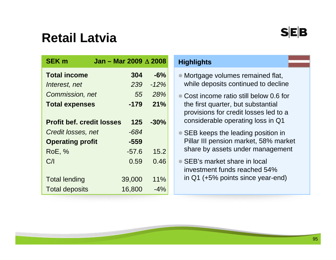### **Retail Latvia**

| <b>SEK m</b>                     | Jan - Mar 2009 $\triangle$ 2008 |     |        |
|----------------------------------|---------------------------------|-----|--------|
| <b>Total income</b>              | 304                             |     | $-6%$  |
| Interest, net                    |                                 | 239 | $-12%$ |
| Commission, net                  |                                 | 55  | 28%    |
| <b>Total expenses</b>            | $-179$                          |     | 21%    |
| <b>Profit bef. credit losses</b> |                                 | 125 | $-30%$ |
| Credit losses, net               | -684                            |     |        |
| <b>Operating profit</b>          | -559                            |     |        |
| <b>RoE, %</b>                    | $-57.6$                         |     | 15.2   |
| C/                               | 0.59                            |     | 0.46   |
| <b>Total lending</b>             | 39,000                          |     | 11%    |
| <b>Total deposits</b>            | 16,800                          |     | $-4\%$ |

#### **Highlights**

- Mortgage volumes remained flat, while deposits continued to decline
- Cost income ratio still below 0.6 for the first quarter, but substantial provisions for credit losses led to a considerable operating loss in Q1
- SEB keeps the leading position in Pillar III pension market, 58% market share by assets under management
- SEB's market share in local investment funds reached 54% in Q1 (+5% points since year-end)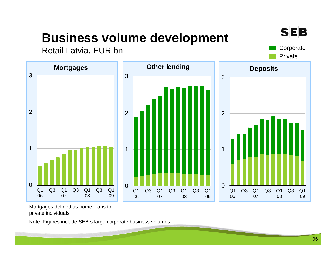### **Business volume development**



Retail Latvia, EUR bn





Mortgages defined as home loans to private individuals

Note: Figures include SEB:s large corporate business volumes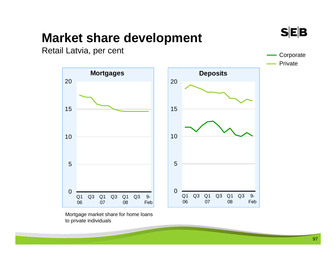# **Market share development**  Retail Latvia, per cent



Mortgage market share for home loans to private individuals

**Corporate** 

**SEB** 

Private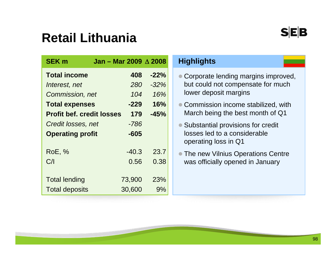### **Retail Lithuania**

| <b>SEK m</b>                     | Jan - Mar 2009 $\triangle$ 2008 |        |
|----------------------------------|---------------------------------|--------|
| <b>Total income</b>              | 408                             | $-22%$ |
| Interest, net                    | <i>280</i>                      | $-32%$ |
| Commission, net                  | 104                             | 16%    |
| <b>Total expenses</b>            | -229                            | 16%    |
| <b>Profit bef. credit losses</b> | 179                             | $-45%$ |
| Credit losses, net               | $-786$                          |        |
| <b>Operating profit</b>          | $-605$                          |        |
| <b>RoE, %</b>                    | $-40.3$                         | 23.7   |
| C/I                              | 0.56                            | 0.38   |
|                                  |                                 |        |
| <b>Total lending</b>             | 73,900                          | 23%    |
| <b>Total deposits</b>            | 30,600                          | 9%     |

#### **Highlights**

- Corporate lending margins improved, but could not compensate for much lower deposit margins
- Commission income stabilized, with March being the best month of Q1
- Substantial provisions for credit losses led to a considerable operating loss in Q1
- **The new Vilnius Operations Centre** was officially opened in January

SEB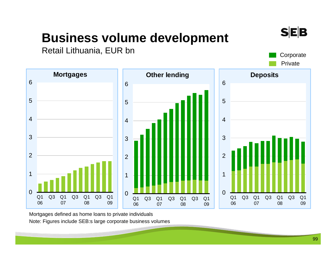### **Business volume development**

Retail Lithuania, EUR bn Corporate

**Mortgages**

 $\Omega$ 

Q1 06 Q3 Q1 07

1

2

3

4

5

6



Mortgages defined as home loans to private individuals Note: Figures include SEB:s large corporate business volumes

Q3 Q1 08

**SEB**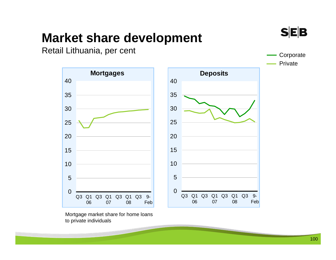### **Market share development**



Retail Lithuania, per cent Communication Communication Communication Communication Communication Communication





Mortgage market share for home loans to private individuals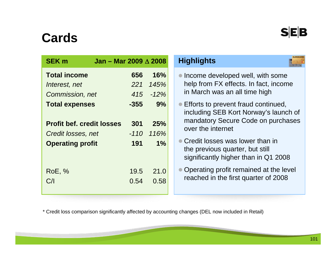### **Cards**

| <b>SEK m</b>                     | Jan - Mar 2009 $\triangle$ 2008 |      |                |
|----------------------------------|---------------------------------|------|----------------|
| <b>Total income</b>              |                                 | 656  | 16%            |
| Interest, net                    |                                 | 221  | 145%           |
| Commission, net                  |                                 | 415  | $-12%$         |
| <b>Total expenses</b>            |                                 | -355 | 9%             |
|                                  |                                 |      |                |
| <b>Profit bef. credit losses</b> |                                 | 301  | 25%            |
| Credit losses, net               |                                 |      | $-110$ $116\%$ |
| <b>Operating profit</b>          |                                 | 191  | $1\%$          |
|                                  |                                 |      |                |
|                                  |                                 |      |                |
| <b>RoE, %</b>                    |                                 | 19.5 | 21.0           |
| C/                               |                                 | 0.54 | 0.58           |
|                                  |                                 |      |                |

#### **Highlights**

- Income developed well, with some help from FX effects. In fact, income in March was an all time high
- Efforts to prevent fraud continued, including SEB Kort Norway's launch of mandatory Secure Code on purchases over the internet
- Credit losses was lower than in the previous quarter, but still significantly higher than in Q1 2008
- $\bullet$  Operating profit remained at the level reached in the first quarter of 2008

\* Credit loss comparison significantly affected by accounting changes (DEL now included in Retail)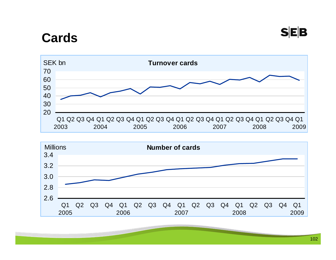### **Cards**



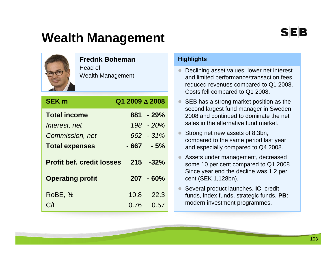### **Wealth Management**

#### **Fredrik Boheman**

Head of Wealth Management

| <b>SEK m</b>                     | Q1 2009 $\triangle$ 2008 |
|----------------------------------|--------------------------|
| <b>Total income</b>              | $881 - 29%$              |
| Interest, net                    | 198 - 20%                |
| Commission, net                  | 662 - 31%                |
| <b>Total expenses</b>            | $-667 - 5%$              |
| <b>Profit bef. credit losses</b> | $215 - 32%$              |
|                                  |                          |
| <b>Operating profit</b>          | $207 - 60\%$             |
| RoBE, %                          | 10.8<br>22.3             |

#### **Highlights**

- $\bullet$  Declining asset values, lower net interest and limited performance/transaction fees reduced revenues compared to Q1 2008. Costs fell compared to Q1 2008.
- $\bullet$  SEB has a strong market position as the second largest fund manager in Sweden 2008 and continued to dominate the net sales in the alternative fund market.
- $\bullet$  Strong net new assets of 8.3bn, compared to the same period last year and especially compared to Q4 2008.
- $\bullet$  Assets under management, decreased some 10 per cent compared to Q1 2008. Since year end the decline was 1.2 per cent (SEK 1,128bn).
- $\bullet$  Several product launches. **IC**: credit funds, index funds, strategic funds. **PB**: modern investment programmes.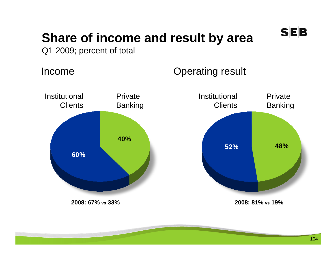

### **Share of income and result by area**

Q1 2009; percent of total

Income

### Operating result

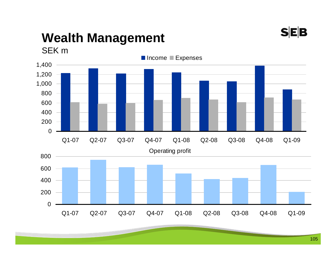

### **Wealth Management**

SEK m

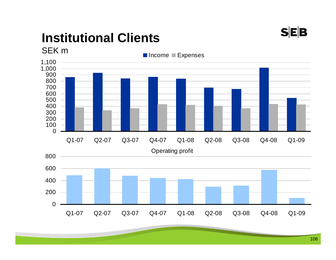

### **Institutional Clients**

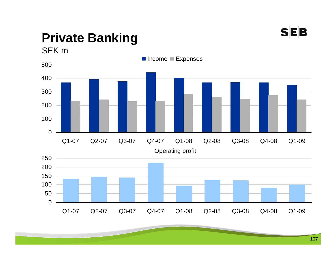

# **Private Banking**



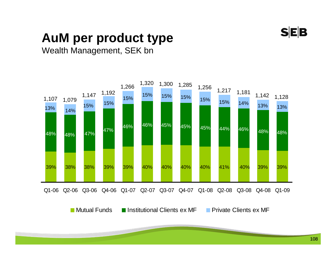

### **AuM per product type**

#### Wealth Management, SEK bn

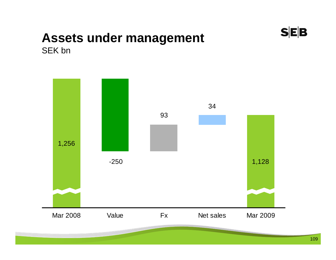

#### **Assets under management**  SEK bn

1,256 -250 1,128 93 34 Mar 2008 Value Fx Net sales Mar 2009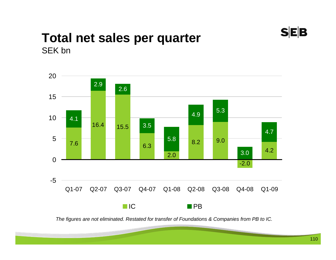

#### **Total net sales per quarter**  SEK bn



*The figures are not eliminated. Restated for transfer of Foundations & Companies from PB to IC.*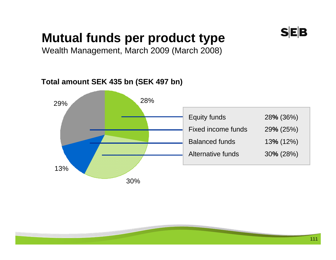# **Mutual funds per product type**

Wealth Management, March 2009 (March 2008)

#### **Total amount SEK 435 bn (SEK 497 bn)**

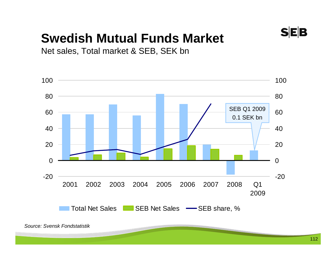# **SEB**

# **Swedish Mutual Funds Market**

Net sales, Total market & SEB, SEK bn

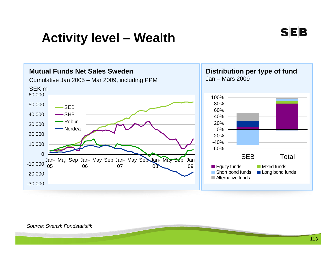## **Activity level – Wealth**



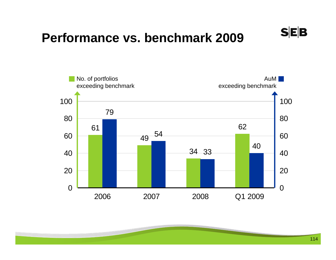## **Performance vs. benchmark 2009**



 $S|E|B$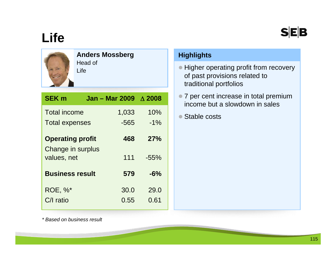### **SEB**

# **Life**



#### **Anders Mossberg**

Head of Life

| <b>SEK m</b>                     | <b>Jan - Mar 2009</b> | $\wedge$ 2008 |  |
|----------------------------------|-----------------------|---------------|--|
| <b>Total income</b>              | 1,033                 | 10%           |  |
| <b>Total expenses</b>            | $-565$                | $-1\%$        |  |
| <b>Operating profit</b>          | 468                   | 27%           |  |
| Change in surplus<br>values, net | 111                   | $-55%$        |  |
| <b>Business result</b>           | 579                   | $-6%$         |  |
| <b>ROE, %*</b>                   | 30.0                  | 29.0          |  |
| $C/I$ ratio                      | 0.55                  | 0.61          |  |

#### **Highlights**

- Higher operating profit from recovery of past provisions related to traditional portfolios
- 7 per cent increase in total premium income but a slowdown in sales
- Stable costs

*\* Based on business result*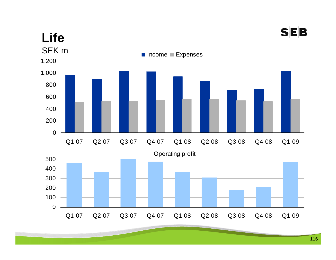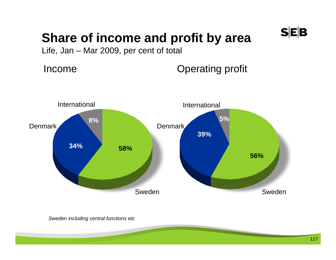# **Share of income and profit by area**

Life, Jan – Mar 2009, per cent of total

Income

Operating profit



*Sweden including central functions etc*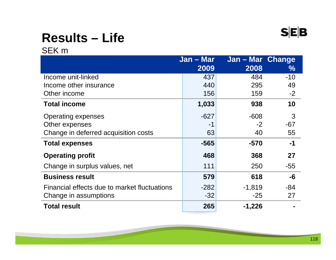

# **Results – Life**

SEK m

|                                              | Jan - Mar | Jan - Mar Change |               |
|----------------------------------------------|-----------|------------------|---------------|
|                                              | 2009      | 2008             | $\frac{1}{2}$ |
| Income unit-linked                           | 437       | 484              | $-10$         |
| Income other insurance                       | 440       | 295              | 49            |
| Other income                                 | 156       | 159              | $-2$          |
| <b>Total income</b>                          | 1,033     | 938              | 10            |
| <b>Operating expenses</b>                    | $-627$    | $-608$           | 3             |
| Other expenses                               | -1        | $-2$             | $-67$         |
| Change in deferred acquisition costs         | 63        | 40               | 55            |
| <b>Total expenses</b>                        | $-565$    | $-570$           | $-1$          |
| <b>Operating profit</b>                      | 468       | 368              | 27            |
| Change in surplus values, net                | 111       | 250              | $-55$         |
| <b>Business result</b>                       | 579       | 618              | -6            |
| Financial effects due to market fluctuations | $-282$    | $-1,819$         | -84           |
| Change in assumptions                        | $-32$     | $-25$            | 27            |
| <b>Total result</b>                          | 265       | $-1,226$         |               |

<u>a sa sa</u>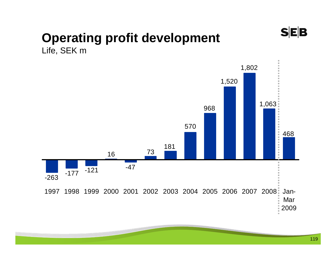

#### **Operating profit development**  Life, SEK m

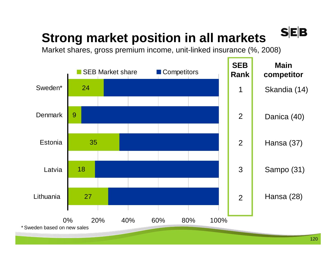# **Strong market position in all markets**

Market shares, gross premium income, unit-linked insurance (%, 2008)

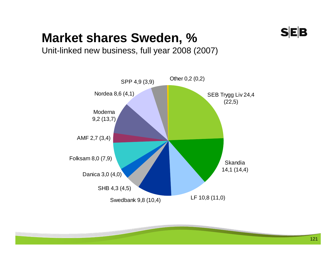

## **Market shares Sweden, %**

Unit-linked new business, full year 2008 (2007)

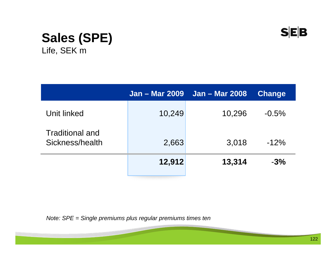

#### **Sales (SPE)**  Life, SEK m

|                                    | <b>Jan – Mar 2009</b> | <b>Jan – Mar 2008</b> | <b>Change</b> |
|------------------------------------|-----------------------|-----------------------|---------------|
| Unit linked                        | 10,249                | 10,296                | $-0.5%$       |
| Traditional and<br>Sickness/health | 2,663                 | 3,018                 | $-12%$        |
|                                    | 12,912                | 13,314                | $-3%$         |

*Note: SPE = Single premiums plus regular premiums times ten*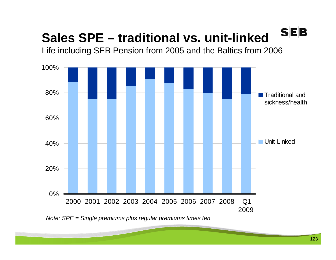#### **SEB Sales SPE – traditional vs. unit-linked**

Life including SEB Pension from 2005 and the Baltics from 2006



*Note: SPE = Single premiums plus regular premiums times ten*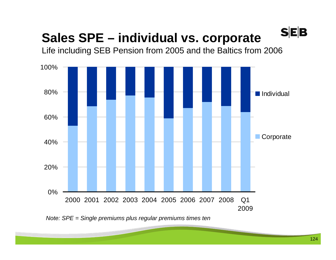# **Sales SPE – individual vs. corporate**

Life including SEB Pension from 2005 and the Baltics from 2006



*Note: SPE = Single premiums plus regular premiums times ten*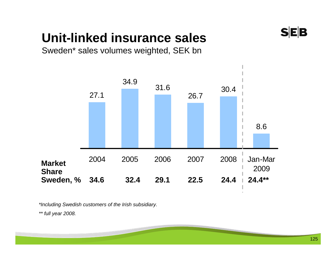# **Unit-linked insurance sales**

Sweden\* sales volumes weighted, SEK bn



*\*Including Swedish customers of the Irish subsidiary.*

*\*\* full year 2008.*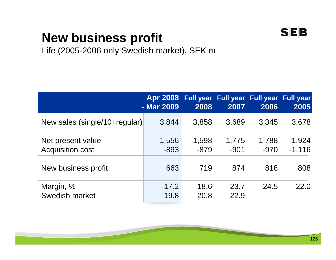### $S|E|B$

# **New business profit**

Life (2005-2006 only Swedish market), SEK m

|                                              | Apr 2008 Full year Full year Full year Full year<br>- Mar 2009 | 2008            | 2007            | 2006            | 2005              |
|----------------------------------------------|----------------------------------------------------------------|-----------------|-----------------|-----------------|-------------------|
| New sales (single/10+regular)                | 3,844                                                          | 3,858           | 3,689           | 3,345           | 3,678             |
| Net present value<br><b>Acquisition cost</b> | 1,556<br>$-893$                                                | 1,598<br>$-879$ | 1,775<br>$-901$ | 1,788<br>$-970$ | 1,924<br>$-1,116$ |
| New business profit                          | 663                                                            | 719             | 874             | 818             | 808               |
| Margin, %<br>Swedish market                  | 17.2<br>19.8                                                   | 18.6<br>20.8    | 23.7<br>22.9    | 24.5            | 22.0              |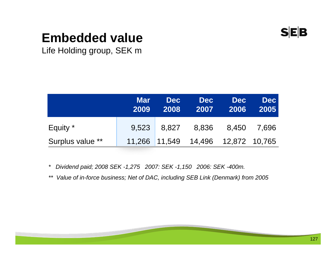

## **Embedded value**

Life Holding group, SEK m

|                  | <b>Mar</b><br>2009 | <b>Dec</b><br>2008 | <b>Dec</b><br>2007                 | <b>Dec</b><br>2006 | <b>Dec</b><br>2005 |
|------------------|--------------------|--------------------|------------------------------------|--------------------|--------------------|
| Equity *         |                    |                    | 9,523 8,827 8,836 8,450 7,696      |                    |                    |
| Surplus value ** |                    |                    | 11,266 11,549 14,496 12,872 10,765 |                    |                    |

*\* Dividend paid; 2008 SEK -1,275 2007: SEK -1,150 2006: SEK -400m.*

*\*\* Value of in-force business; Net of DAC, including SEB Link (Denmark) from 2005*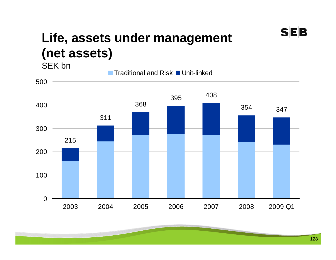### **Life, assets under management (net assets)**  SEK bn

Traditional and Risk ■ Unit-linked





 $S|E|B$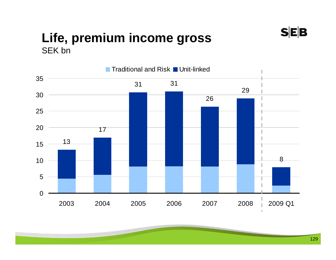#### **Life, premium income gross**  SEK bn



 $S|E|B$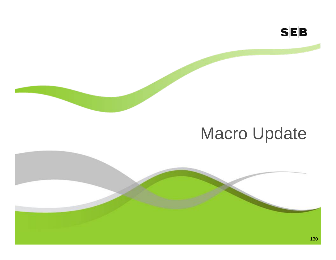

# Macro Update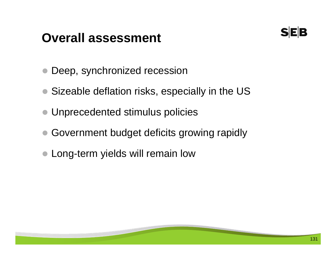## **Overall assessment**



- $\bullet$ Deep, synchronized recession
- Sizeable deflation risks, especially in the US
- Unprecedented stimulus policies
- Government budget deficits growing rapidly
- Long-term yields will remain low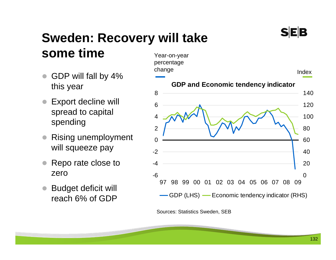#### **Sweden: Recovery will take some time** Year-on-year

- $\bullet$  GDP will fall by 4% this year
- $\bullet$  Export decline will spread to capital spending
- $\bullet$  Rising unemployment will squeeze pay
- $\bullet$  Repo rate close to zero
- $\bullet$  Budget deficit will reach 6% of GDP



Sources: Statistics Sweden, SEB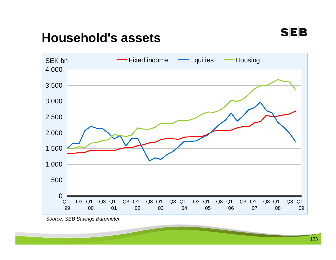

## **Household's assets**



*Source: SEB Savings Barometer*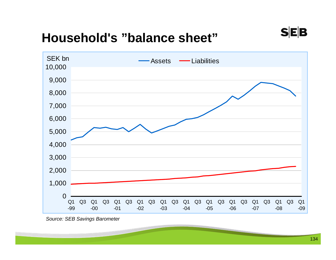## **Household's "balance sheet"**



*Source: SEB Savings Barometer*

 $S|E|B$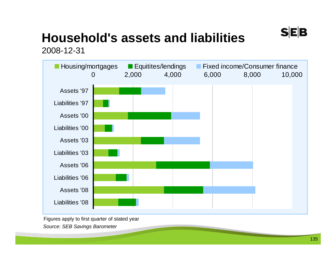# **Household's assets and liabilities**

2008-12-31



Figures apply to first quarter of stated year *Source: SEB Savings Barometer*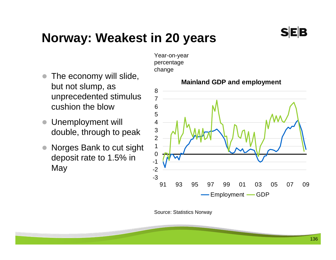# **Norway: Weakest in 20 years**

- $\bullet$  The economy will slide, but not slump, as unprecedented stimulus cushion the blow
- $\bullet$  Unemployment will double, through to peak
- $\bullet$  Norges Bank to cut sight deposit rate to 1.5% in May

Year-on-year percentage change



**Mainland GDP and employment**

Source: Statistics Norway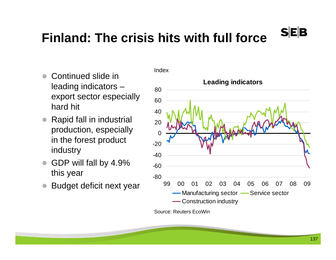#### 137

## **Finland: The crisis hits with full force**

Index

- $\bullet$  Continued slide in leading indicators – export sector especially hard hit
- $\bullet$  Rapid fall in industrial production, especially in the forest product industry
- $\bullet$  GDP will fall by 4.9% this year
- $\bullet$ Budget deficit next year



Source: Reuters EcoWin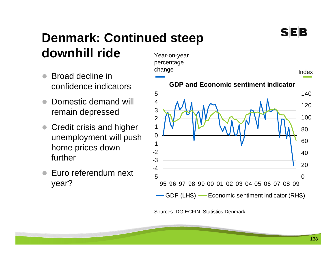#### Year-on-year **Denmark: Continued steep downhill ride**

- $\bullet$  Broad decline in confidence indicators
- $\bullet$  Domestic demand will remain depressed
- $\bullet$  Credit crisis and higher unemployment will push home prices down further
- $\bullet$  Euro referendum next year?



Sources: DG ECFIN, Statistics Denmark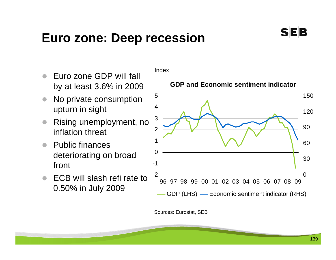#### **Euro zone: Deep recession**

- $\bullet$  No private consumption upturn in sight
- $\bullet$  Rising unemployment, no inflation threat
- $\bullet$  Public finances deteriorating on broad front
- $\bullet$  ECB will slash refi rate to 0.50% in July 2009

Index

#### **GDP and Economic sentiment indicator**



Sources: Eurostat, SEB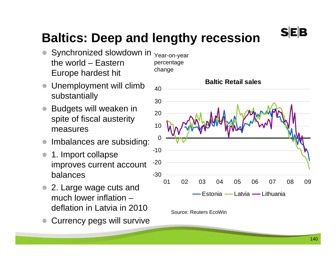# **Baltics: Deep and lengthy recession**

-30

- $\bullet$  Synchronized slowdown in the world – Eastern Europe hardest hit Year-on-year percentage change
- $\bullet$  Unemployment will climb substantially
- $\bullet$  Budgets will weaken in spite of fiscal austerity measures
- $\bullet$ Imbalances are subsiding:
- $\bullet$  1. Import collapse improves current account balances
- 2. Large wage cuts and much lower inflation – deflation in Latvia in 2010
- $\bullet$ Currency pegs will survive



01 02 03 04 05 06 07 08 09

Estonia — Latvia — Lithuania

Source: Reuters EcoWin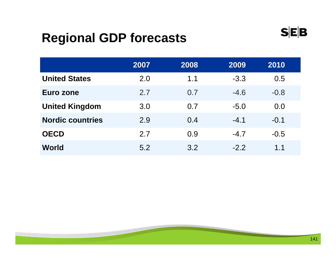## **Regional GDP forecasts**

|                         | 2007 | 2008 | 2009   | 2010   |
|-------------------------|------|------|--------|--------|
| <b>United States</b>    | 2.0  | 1.1  | $-3.3$ | 0.5    |
| Euro zone               | 2.7  | 0.7  | $-4.6$ | $-0.8$ |
| <b>United Kingdom</b>   | 3.0  | 0.7  | $-5.0$ | 0.0    |
| <b>Nordic countries</b> | 2.9  | 0.4  | $-4.1$ | $-0.1$ |
| <b>OECD</b>             | 2.7  | 0.9  | $-4.7$ | $-0.5$ |
| World                   | 5.2  | 3.2  | $-2.2$ | 1.1    |